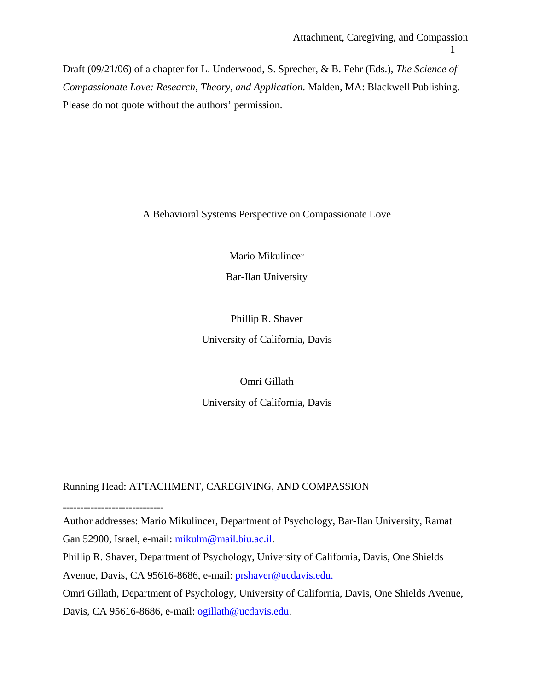Draft (09/21/06) of a chapter for L. Underwood, S. Sprecher, & B. Fehr (Eds.), *The Science of Compassionate Love: Research, Theory, and Application*. Malden, MA: Blackwell Publishing. Please do not quote without the authors' permission.

A Behavioral Systems Perspective on Compassionate Love

Mario Mikulincer

Bar-Ilan University

Phillip R. Shaver

University of California, Davis

Omri Gillath

University of California, Davis

Running Head: ATTACHMENT, CAREGIVING, AND COMPASSION

*-----------------------------* 

Author addresses: Mario Mikulincer, Department of Psychology, Bar-Ilan University, Ramat Gan 52900, Israel, e-mail: [mikulm@mail.biu.ac.il](mailto:mikulm@mail.biu.ac.il).

Phillip R. Shaver, Department of Psychology, University of California, Davis, One Shields Avenue, Davis, CA 95616-8686, e-mail: [prshaver@ucdavis.edu](mailto:prshaver@ucdavis.edu).

Omri Gillath, Department of Psychology, University of California, Davis, One Shields Avenue, Davis, CA 95616-8686, e-mail: [ogillath@ucdavis.edu](mailto:ogillath@ucdavis.edu).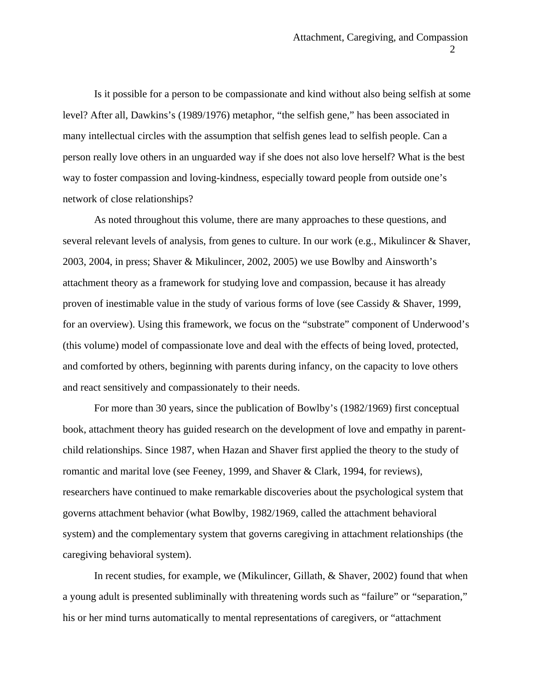Is it possible for a person to be compassionate and kind without also being selfish at some level? After all, Dawkins's (1989/1976) metaphor, "the selfish gene," has been associated in many intellectual circles with the assumption that selfish genes lead to selfish people. Can a person really love others in an unguarded way if she does not also love herself? What is the best way to foster compassion and loving-kindness, especially toward people from outside one's network of close relationships?

As noted throughout this volume, there are many approaches to these questions, and several relevant levels of analysis, from genes to culture. In our work (e.g., Mikulincer & Shaver, 2003, 2004, in press; Shaver & Mikulincer, 2002, 2005) we use Bowlby and Ainsworth's attachment theory as a framework for studying love and compassion, because it has already proven of inestimable value in the study of various forms of love (see Cassidy & Shaver, 1999, for an overview). Using this framework, we focus on the "substrate" component of Underwood's (this volume) model of compassionate love and deal with the effects of being loved, protected, and comforted by others, beginning with parents during infancy, on the capacity to love others and react sensitively and compassionately to their needs.

For more than 30 years, since the publication of Bowlby's (1982/1969) first conceptual book, attachment theory has guided research on the development of love and empathy in parentchild relationships. Since 1987, when Hazan and Shaver first applied the theory to the study of romantic and marital love (see Feeney, 1999, and Shaver & Clark, 1994, for reviews), researchers have continued to make remarkable discoveries about the psychological system that governs attachment behavior (what Bowlby, 1982/1969, called the attachment behavioral system) and the complementary system that governs caregiving in attachment relationships (the caregiving behavioral system).

In recent studies, for example, we (Mikulincer, Gillath, & Shaver, 2002) found that when a young adult is presented subliminally with threatening words such as "failure" or "separation," his or her mind turns automatically to mental representations of caregivers, or "attachment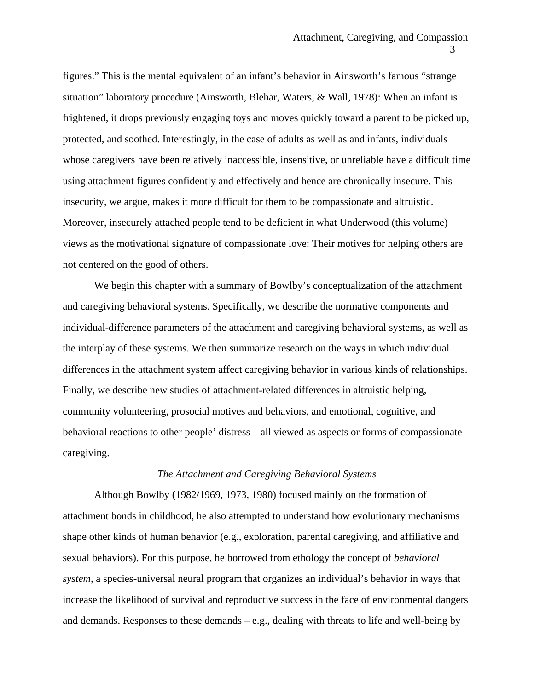figures." This is the mental equivalent of an infant's behavior in Ainsworth's famous "strange situation" laboratory procedure (Ainsworth, Blehar, Waters, & Wall, 1978): When an infant is frightened, it drops previously engaging toys and moves quickly toward a parent to be picked up, protected, and soothed. Interestingly, in the case of adults as well as and infants, individuals whose caregivers have been relatively inaccessible, insensitive, or unreliable have a difficult time using attachment figures confidently and effectively and hence are chronically insecure. This insecurity, we argue, makes it more difficult for them to be compassionate and altruistic. Moreover, insecurely attached people tend to be deficient in what Underwood (this volume) views as the motivational signature of compassionate love: Their motives for helping others are not centered on the good of others.

We begin this chapter with a summary of Bowlby's conceptualization of the attachment and caregiving behavioral systems. Specifically, we describe the normative components and individual-difference parameters of the attachment and caregiving behavioral systems, as well as the interplay of these systems. We then summarize research on the ways in which individual differences in the attachment system affect caregiving behavior in various kinds of relationships. Finally, we describe new studies of attachment-related differences in altruistic helping, community volunteering, prosocial motives and behaviors, and emotional, cognitive, and behavioral reactions to other people' distress – all viewed as aspects or forms of compassionate caregiving.

# *The Attachment and Caregiving Behavioral Systems*

Although Bowlby (1982/1969, 1973, 1980) focused mainly on the formation of attachment bonds in childhood, he also attempted to understand how evolutionary mechanisms shape other kinds of human behavior (e.g., exploration, parental caregiving, and affiliative and sexual behaviors). For this purpose, he borrowed from ethology the concept of *behavioral system*, a species-universal neural program that organizes an individual's behavior in ways that increase the likelihood of survival and reproductive success in the face of environmental dangers and demands. Responses to these demands – e.g., dealing with threats to life and well-being by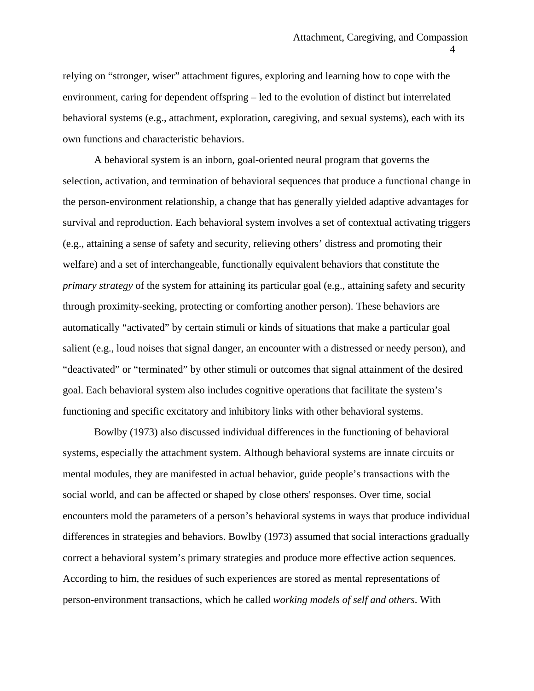relying on "stronger, wiser" attachment figures, exploring and learning how to cope with the environment, caring for dependent offspring – led to the evolution of distinct but interrelated behavioral systems (e.g., attachment, exploration, caregiving, and sexual systems), each with its own functions and characteristic behaviors.

A behavioral system is an inborn, goal-oriented neural program that governs the selection, activation, and termination of behavioral sequences that produce a functional change in the person-environment relationship, a change that has generally yielded adaptive advantages for survival and reproduction. Each behavioral system involves a set of contextual activating triggers (e.g., attaining a sense of safety and security, relieving others' distress and promoting their welfare) and a set of interchangeable, functionally equivalent behaviors that constitute the *primary strategy* of the system for attaining its particular goal (e.g., attaining safety and security through proximity-seeking, protecting or comforting another person). These behaviors are automatically "activated" by certain stimuli or kinds of situations that make a particular goal salient (e.g., loud noises that signal danger, an encounter with a distressed or needy person), and "deactivated" or "terminated" by other stimuli or outcomes that signal attainment of the desired goal. Each behavioral system also includes cognitive operations that facilitate the system's functioning and specific excitatory and inhibitory links with other behavioral systems.

Bowlby (1973) also discussed individual differences in the functioning of behavioral systems, especially the attachment system. Although behavioral systems are innate circuits or mental modules, they are manifested in actual behavior, guide people's transactions with the social world, and can be affected or shaped by close others' responses. Over time, social encounters mold the parameters of a person's behavioral systems in ways that produce individual differences in strategies and behaviors. Bowlby (1973) assumed that social interactions gradually correct a behavioral system's primary strategies and produce more effective action sequences. According to him, the residues of such experiences are stored as mental representations of person-environment transactions, which he called *working models of self and others*. With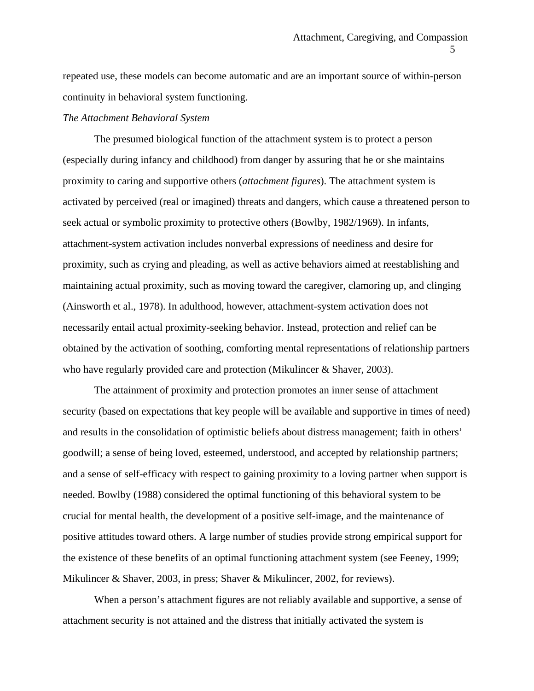repeated use, these models can become automatic and are an important source of within-person continuity in behavioral system functioning.

# *The Attachment Behavioral System*

The presumed biological function of the attachment system is to protect a person (especially during infancy and childhood) from danger by assuring that he or she maintains proximity to caring and supportive others (*attachment figures*). The attachment system is activated by perceived (real or imagined) threats and dangers, which cause a threatened person to seek actual or symbolic proximity to protective others (Bowlby, 1982/1969). In infants, attachment-system activation includes nonverbal expressions of neediness and desire for proximity, such as crying and pleading, as well as active behaviors aimed at reestablishing and maintaining actual proximity, such as moving toward the caregiver, clamoring up, and clinging (Ainsworth et al., 1978). In adulthood, however, attachment-system activation does not necessarily entail actual proximity-seeking behavior. Instead, protection and relief can be obtained by the activation of soothing, comforting mental representations of relationship partners who have regularly provided care and protection (Mikulincer & Shaver, 2003).

The attainment of proximity and protection promotes an inner sense of attachment security (based on expectations that key people will be available and supportive in times of need) and results in the consolidation of optimistic beliefs about distress management; faith in others' goodwill; a sense of being loved, esteemed, understood, and accepted by relationship partners; and a sense of self-efficacy with respect to gaining proximity to a loving partner when support is needed. Bowlby (1988) considered the optimal functioning of this behavioral system to be crucial for mental health, the development of a positive self-image, and the maintenance of positive attitudes toward others. A large number of studies provide strong empirical support for the existence of these benefits of an optimal functioning attachment system (see Feeney, 1999; Mikulincer & Shaver, 2003, in press; Shaver & Mikulincer, 2002, for reviews).

When a person's attachment figures are not reliably available and supportive, a sense of attachment security is not attained and the distress that initially activated the system is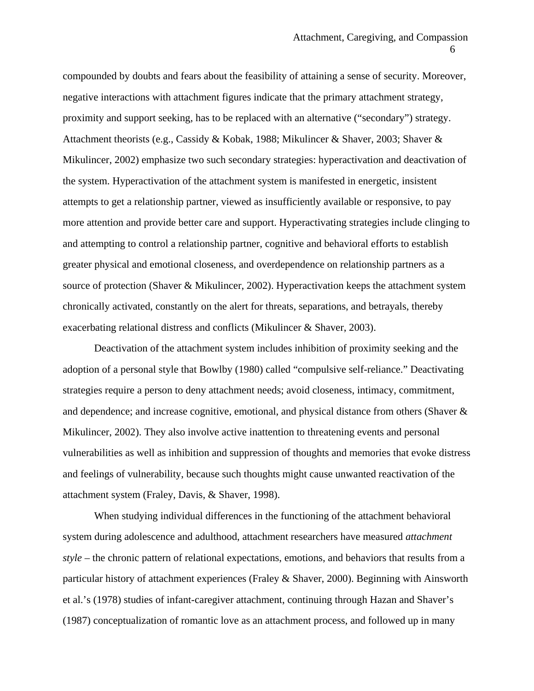compounded by doubts and fears about the feasibility of attaining a sense of security. Moreover, negative interactions with attachment figures indicate that the primary attachment strategy, proximity and support seeking, has to be replaced with an alternative ("secondary") strategy. Attachment theorists (e.g., Cassidy & Kobak, 1988; Mikulincer & Shaver, 2003; Shaver & Mikulincer, 2002) emphasize two such secondary strategies: hyperactivation and deactivation of the system. Hyperactivation of the attachment system is manifested in energetic, insistent attempts to get a relationship partner, viewed as insufficiently available or responsive, to pay more attention and provide better care and support. Hyperactivating strategies include clinging to and attempting to control a relationship partner, cognitive and behavioral efforts to establish greater physical and emotional closeness, and overdependence on relationship partners as a source of protection (Shaver & Mikulincer, 2002). Hyperactivation keeps the attachment system chronically activated, constantly on the alert for threats, separations, and betrayals, thereby exacerbating relational distress and conflicts (Mikulincer & Shaver, 2003).

Deactivation of the attachment system includes inhibition of proximity seeking and the adoption of a personal style that Bowlby (1980) called "compulsive self-reliance." Deactivating strategies require a person to deny attachment needs; avoid closeness, intimacy, commitment, and dependence; and increase cognitive, emotional, and physical distance from others (Shaver & Mikulincer, 2002). They also involve active inattention to threatening events and personal vulnerabilities as well as inhibition and suppression of thoughts and memories that evoke distress and feelings of vulnerability, because such thoughts might cause unwanted reactivation of the attachment system (Fraley, Davis, & Shaver, 1998).

When studying individual differences in the functioning of the attachment behavioral system during adolescence and adulthood, attachment researchers have measured *attachment style* – the chronic pattern of relational expectations, emotions, and behaviors that results from a particular history of attachment experiences (Fraley & Shaver, 2000). Beginning with Ainsworth et al.'s (1978) studies of infant-caregiver attachment, continuing through Hazan and Shaver's (1987) conceptualization of romantic love as an attachment process, and followed up in many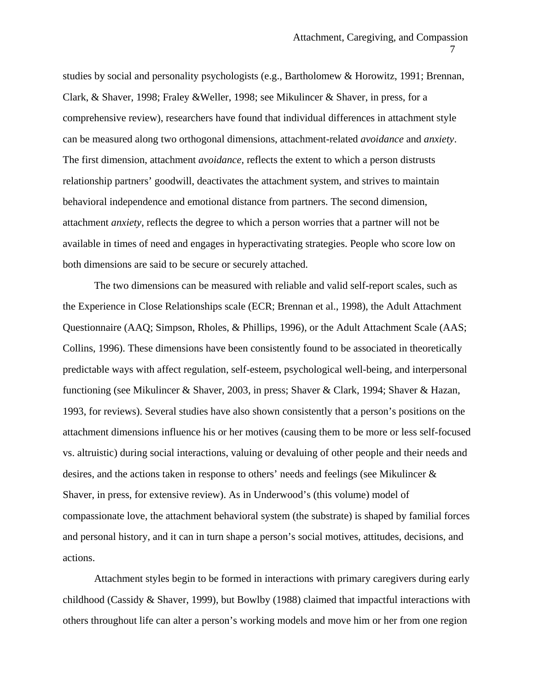studies by social and personality psychologists (e.g., Bartholomew & Horowitz, 1991; Brennan, Clark, & Shaver, 1998; Fraley &Weller, 1998; see Mikulincer & Shaver, in press, for a comprehensive review), researchers have found that individual differences in attachment style can be measured along two orthogonal dimensions, attachment-related *avoidance* and *anxiety*. The first dimension, attachment *avoidance*, reflects the extent to which a person distrusts relationship partners' goodwill, deactivates the attachment system, and strives to maintain behavioral independence and emotional distance from partners. The second dimension, attachment *anxiety*, reflects the degree to which a person worries that a partner will not be available in times of need and engages in hyperactivating strategies. People who score low on both dimensions are said to be secure or securely attached.

The two dimensions can be measured with reliable and valid self-report scales, such as the Experience in Close Relationships scale (ECR; Brennan et al., 1998), the Adult Attachment Questionnaire (AAQ; Simpson, Rholes, & Phillips, 1996), or the Adult Attachment Scale (AAS; Collins, 1996). These dimensions have been consistently found to be associated in theoretically predictable ways with affect regulation, self-esteem, psychological well-being, and interpersonal functioning (see Mikulincer & Shaver, 2003, in press; Shaver & Clark, 1994; Shaver & Hazan, 1993, for reviews). Several studies have also shown consistently that a person's positions on the attachment dimensions influence his or her motives (causing them to be more or less self-focused vs. altruistic) during social interactions, valuing or devaluing of other people and their needs and desires, and the actions taken in response to others' needs and feelings (see Mikulincer & Shaver, in press, for extensive review). As in Underwood's (this volume) model of compassionate love, the attachment behavioral system (the substrate) is shaped by familial forces and personal history, and it can in turn shape a person's social motives, attitudes, decisions, and actions.

Attachment styles begin to be formed in interactions with primary caregivers during early childhood (Cassidy & Shaver, 1999), but Bowlby (1988) claimed that impactful interactions with others throughout life can alter a person's working models and move him or her from one region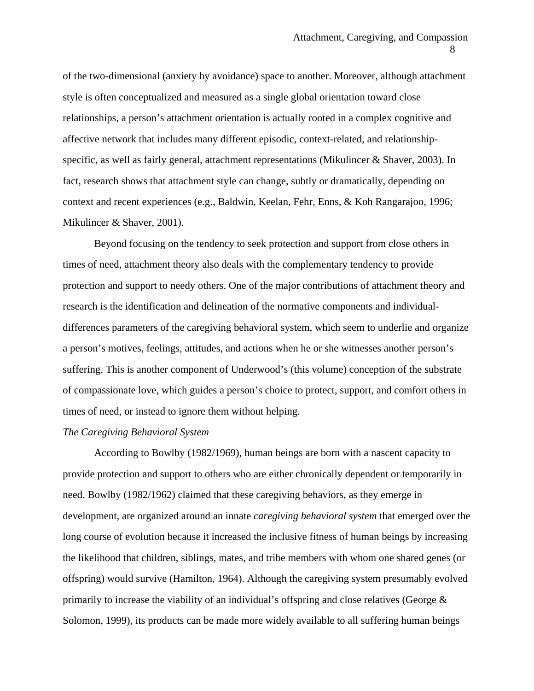of the two-dimensional (anxiety by avoidance) space to another. Moreover, although attachment style is often conceptualized and measured as a single global orientation toward close relationships, a person's attachment orientation is actually rooted in a complex cognitive and affective network that includes many different episodic, context-related, and relationshipspecific, as well as fairly general, attachment representations (Mikulincer & Shaver, 2003). In fact, research shows that attachment style can change, subtly or dramatically, depending on context and recent experiences (e.g., Baldwin, Keelan, Fehr, Enns, & Koh Rangarajoo, 1996; Mikulincer & Shaver, 2001).

Beyond focusing on the tendency to seek protection and support from close others in times of need, attachment theory also deals with the complementary tendency to provide protection and support to needy others. One of the major contributions of attachment theory and research is the identification and delineation of the normative components and individualdifferences parameters of the caregiving behavioral system, which seem to underlie and organize a person's motives, feelings, attitudes, and actions when he or she witnesses another person's suffering. This is another component of Underwood's (this volume) conception of the substrate of compassionate love, which guides a person's choice to protect, support, and comfort others in times of need, or instead to ignore them without helping.

# *The Caregiving Behavioral System*

According to Bowlby (1982/1969), human beings are born with a nascent capacity to provide protection and support to others who are either chronically dependent or temporarily in need. Bowlby (1982/1962) claimed that these caregiving behaviors, as they emerge in development, are organized around an innate *caregiving behavioral system* that emerged over the long course of evolution because it increased the inclusive fitness of human beings by increasing the likelihood that children, siblings, mates, and tribe members with whom one shared genes (or offspring) would survive (Hamilton, 1964). Although the caregiving system presumably evolved primarily to increase the viability of an individual's offspring and close relatives (George & Solomon, 1999), its products can be made more widely available to all suffering human beings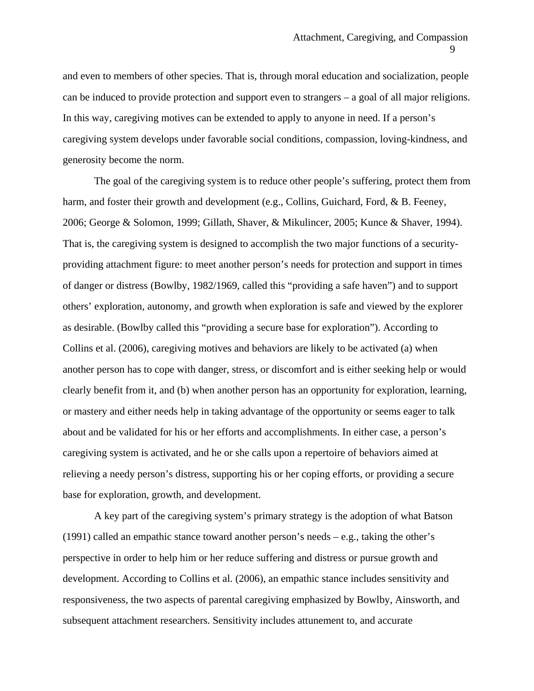and even to members of other species. That is, through moral education and socialization, people can be induced to provide protection and support even to strangers – a goal of all major religions. In this way, caregiving motives can be extended to apply to anyone in need. If a person's caregiving system develops under favorable social conditions, compassion, loving-kindness, and generosity become the norm.

The goal of the caregiving system is to reduce other people's suffering, protect them from harm, and foster their growth and development (e.g., Collins, Guichard, Ford, & B. Feeney, 2006; George & Solomon, 1999; Gillath, Shaver, & Mikulincer, 2005; Kunce & Shaver, 1994). That is, the caregiving system is designed to accomplish the two major functions of a securityproviding attachment figure: to meet another person's needs for protection and support in times of danger or distress (Bowlby, 1982/1969, called this "providing a safe haven") and to support others' exploration, autonomy, and growth when exploration is safe and viewed by the explorer as desirable. (Bowlby called this "providing a secure base for exploration"). According to Collins et al. (2006), caregiving motives and behaviors are likely to be activated (a) when another person has to cope with danger, stress, or discomfort and is either seeking help or would clearly benefit from it, and (b) when another person has an opportunity for exploration, learning, or mastery and either needs help in taking advantage of the opportunity or seems eager to talk about and be validated for his or her efforts and accomplishments. In either case, a person's caregiving system is activated, and he or she calls upon a repertoire of behaviors aimed at relieving a needy person's distress, supporting his or her coping efforts, or providing a secure base for exploration, growth, and development.

A key part of the caregiving system's primary strategy is the adoption of what Batson (1991) called an empathic stance toward another person's needs – e.g., taking the other's perspective in order to help him or her reduce suffering and distress or pursue growth and development. According to Collins et al. (2006), an empathic stance includes sensitivity and responsiveness, the two aspects of parental caregiving emphasized by Bowlby, Ainsworth, and subsequent attachment researchers. Sensitivity includes attunement to, and accurate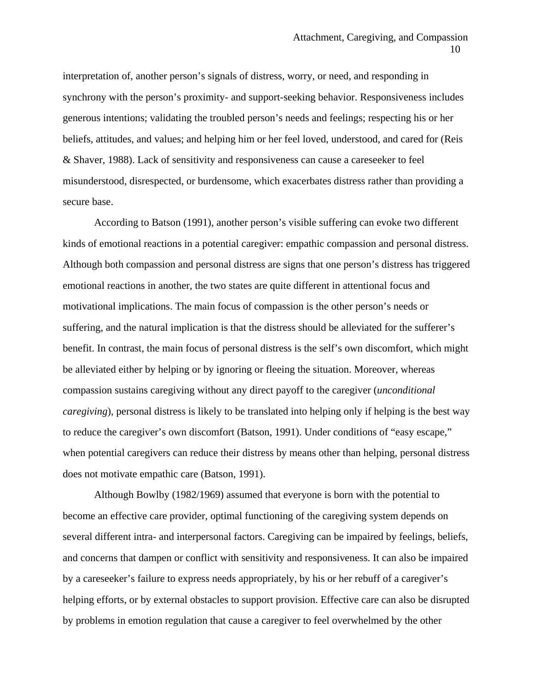interpretation of, another person's signals of distress, worry, or need, and responding in synchrony with the person's proximity- and support-seeking behavior. Responsiveness includes generous intentions; validating the troubled person's needs and feelings; respecting his or her beliefs, attitudes, and values; and helping him or her feel loved, understood, and cared for (Reis & Shaver, 1988). Lack of sensitivity and responsiveness can cause a careseeker to feel misunderstood, disrespected, or burdensome, which exacerbates distress rather than providing a secure base.

According to Batson (1991), another person's visible suffering can evoke two different kinds of emotional reactions in a potential caregiver: empathic compassion and personal distress. Although both compassion and personal distress are signs that one person's distress has triggered emotional reactions in another, the two states are quite different in attentional focus and motivational implications. The main focus of compassion is the other person's needs or suffering, and the natural implication is that the distress should be alleviated for the sufferer's benefit. In contrast, the main focus of personal distress is the self's own discomfort, which might be alleviated either by helping or by ignoring or fleeing the situation. Moreover, whereas compassion sustains caregiving without any direct payoff to the caregiver (*unconditional caregiving*), personal distress is likely to be translated into helping only if helping is the best way to reduce the caregiver's own discomfort (Batson, 1991). Under conditions of "easy escape," when potential caregivers can reduce their distress by means other than helping, personal distress does not motivate empathic care (Batson, 1991).

Although Bowlby (1982/1969) assumed that everyone is born with the potential to become an effective care provider, optimal functioning of the caregiving system depends on several different intra- and interpersonal factors. Caregiving can be impaired by feelings, beliefs, and concerns that dampen or conflict with sensitivity and responsiveness. It can also be impaired by a careseeker's failure to express needs appropriately, by his or her rebuff of a caregiver's helping efforts, or by external obstacles to support provision. Effective care can also be disrupted by problems in emotion regulation that cause a caregiver to feel overwhelmed by the other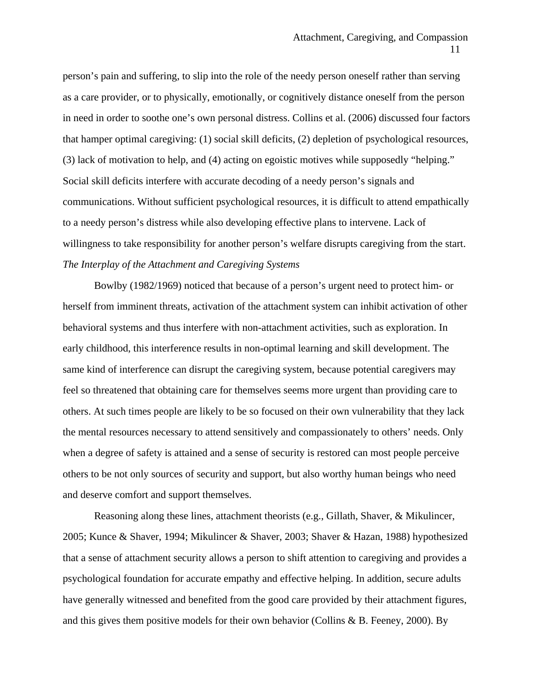person's pain and suffering, to slip into the role of the needy person oneself rather than serving as a care provider, or to physically, emotionally, or cognitively distance oneself from the person in need in order to soothe one's own personal distress. Collins et al. (2006) discussed four factors that hamper optimal caregiving: (1) social skill deficits, (2) depletion of psychological resources, (3) lack of motivation to help, and (4) acting on egoistic motives while supposedly "helping." Social skill deficits interfere with accurate decoding of a needy person's signals and communications. Without sufficient psychological resources, it is difficult to attend empathically to a needy person's distress while also developing effective plans to intervene. Lack of willingness to take responsibility for another person's welfare disrupts caregiving from the start. *The Interplay of the Attachment and Caregiving Systems* 

Bowlby (1982/1969) noticed that because of a person's urgent need to protect him- or herself from imminent threats, activation of the attachment system can inhibit activation of other behavioral systems and thus interfere with non-attachment activities, such as exploration. In early childhood, this interference results in non-optimal learning and skill development. The same kind of interference can disrupt the caregiving system, because potential caregivers may feel so threatened that obtaining care for themselves seems more urgent than providing care to others. At such times people are likely to be so focused on their own vulnerability that they lack the mental resources necessary to attend sensitively and compassionately to others' needs. Only when a degree of safety is attained and a sense of security is restored can most people perceive others to be not only sources of security and support, but also worthy human beings who need and deserve comfort and support themselves.

Reasoning along these lines, attachment theorists (e.g., Gillath, Shaver, & Mikulincer, 2005; Kunce & Shaver, 1994; Mikulincer & Shaver, 2003; Shaver & Hazan, 1988) hypothesized that a sense of attachment security allows a person to shift attention to caregiving and provides a psychological foundation for accurate empathy and effective helping. In addition, secure adults have generally witnessed and benefited from the good care provided by their attachment figures, and this gives them positive models for their own behavior (Collins & B. Feeney, 2000). By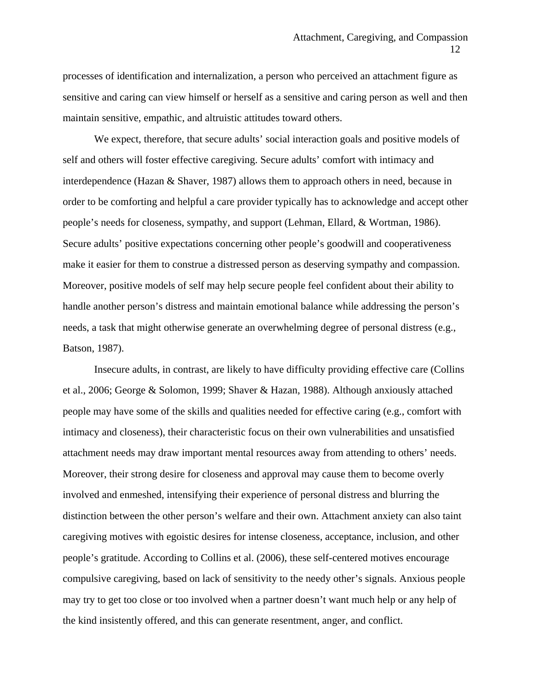processes of identification and internalization, a person who perceived an attachment figure as sensitive and caring can view himself or herself as a sensitive and caring person as well and then maintain sensitive, empathic, and altruistic attitudes toward others.

We expect, therefore, that secure adults' social interaction goals and positive models of self and others will foster effective caregiving. Secure adults' comfort with intimacy and interdependence (Hazan & Shaver, 1987) allows them to approach others in need, because in order to be comforting and helpful a care provider typically has to acknowledge and accept other people's needs for closeness, sympathy, and support (Lehman, Ellard, & Wortman, 1986). Secure adults' positive expectations concerning other people's goodwill and cooperativeness make it easier for them to construe a distressed person as deserving sympathy and compassion. Moreover, positive models of self may help secure people feel confident about their ability to handle another person's distress and maintain emotional balance while addressing the person's needs, a task that might otherwise generate an overwhelming degree of personal distress (e.g., Batson, 1987).

Insecure adults, in contrast, are likely to have difficulty providing effective care (Collins et al., 2006; George & Solomon, 1999; Shaver & Hazan, 1988). Although anxiously attached people may have some of the skills and qualities needed for effective caring (e.g., comfort with intimacy and closeness), their characteristic focus on their own vulnerabilities and unsatisfied attachment needs may draw important mental resources away from attending to others' needs. Moreover, their strong desire for closeness and approval may cause them to become overly involved and enmeshed, intensifying their experience of personal distress and blurring the distinction between the other person's welfare and their own. Attachment anxiety can also taint caregiving motives with egoistic desires for intense closeness, acceptance, inclusion, and other people's gratitude. According to Collins et al. (2006), these self-centered motives encourage compulsive caregiving, based on lack of sensitivity to the needy other's signals. Anxious people may try to get too close or too involved when a partner doesn't want much help or any help of the kind insistently offered, and this can generate resentment, anger, and conflict.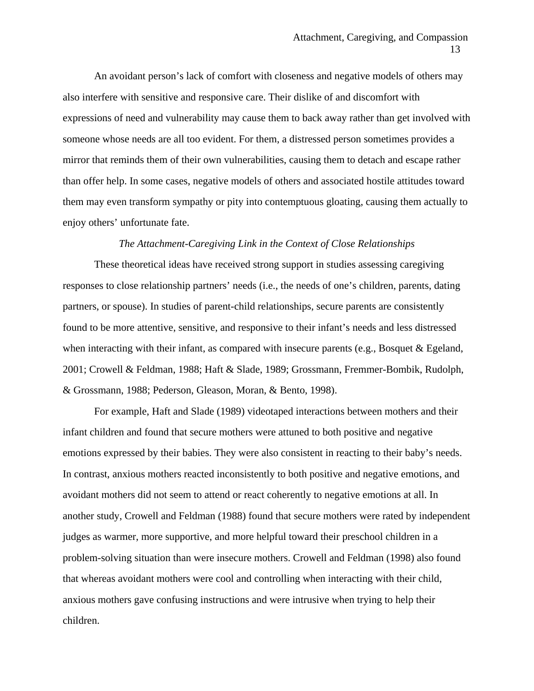An avoidant person's lack of comfort with closeness and negative models of others may also interfere with sensitive and responsive care. Their dislike of and discomfort with expressions of need and vulnerability may cause them to back away rather than get involved with someone whose needs are all too evident. For them, a distressed person sometimes provides a mirror that reminds them of their own vulnerabilities, causing them to detach and escape rather than offer help. In some cases, negative models of others and associated hostile attitudes toward them may even transform sympathy or pity into contemptuous gloating, causing them actually to enjoy others' unfortunate fate.

## *The Attachment-Caregiving Link in the Context of Close Relationships*

These theoretical ideas have received strong support in studies assessing caregiving responses to close relationship partners' needs (i.e., the needs of one's children, parents, dating partners, or spouse). In studies of parent-child relationships, secure parents are consistently found to be more attentive, sensitive, and responsive to their infant's needs and less distressed when interacting with their infant, as compared with insecure parents (e.g., Bosquet & Egeland, 2001; Crowell & Feldman, 1988; Haft & Slade, 1989; Grossmann, Fremmer-Bombik, Rudolph, & Grossmann, 1988; Pederson, Gleason, Moran, & Bento, 1998).

For example, Haft and Slade (1989) videotaped interactions between mothers and their infant children and found that secure mothers were attuned to both positive and negative emotions expressed by their babies. They were also consistent in reacting to their baby's needs. In contrast, anxious mothers reacted inconsistently to both positive and negative emotions, and avoidant mothers did not seem to attend or react coherently to negative emotions at all. In another study, Crowell and Feldman (1988) found that secure mothers were rated by independent judges as warmer, more supportive, and more helpful toward their preschool children in a problem-solving situation than were insecure mothers. Crowell and Feldman (1998) also found that whereas avoidant mothers were cool and controlling when interacting with their child, anxious mothers gave confusing instructions and were intrusive when trying to help their children.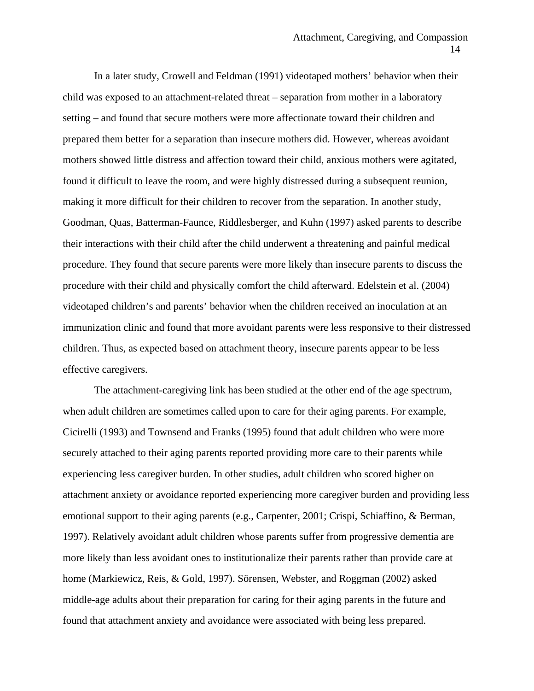In a later study, Crowell and Feldman (1991) videotaped mothers' behavior when their child was exposed to an attachment-related threat – separation from mother in a laboratory setting – and found that secure mothers were more affectionate toward their children and prepared them better for a separation than insecure mothers did. However, whereas avoidant mothers showed little distress and affection toward their child, anxious mothers were agitated, found it difficult to leave the room, and were highly distressed during a subsequent reunion, making it more difficult for their children to recover from the separation. In another study, Goodman, Quas, Batterman-Faunce, Riddlesberger, and Kuhn (1997) asked parents to describe their interactions with their child after the child underwent a threatening and painful medical procedure. They found that secure parents were more likely than insecure parents to discuss the procedure with their child and physically comfort the child afterward. Edelstein et al. (2004) videotaped children's and parents' behavior when the children received an inoculation at an immunization clinic and found that more avoidant parents were less responsive to their distressed children. Thus, as expected based on attachment theory, insecure parents appear to be less effective caregivers.

The attachment-caregiving link has been studied at the other end of the age spectrum, when adult children are sometimes called upon to care for their aging parents. For example, Cicirelli (1993) and Townsend and Franks (1995) found that adult children who were more securely attached to their aging parents reported providing more care to their parents while experiencing less caregiver burden. In other studies, adult children who scored higher on attachment anxiety or avoidance reported experiencing more caregiver burden and providing less emotional support to their aging parents (e.g., Carpenter, 2001; Crispi, Schiaffino, & Berman, 1997). Relatively avoidant adult children whose parents suffer from progressive dementia are more likely than less avoidant ones to institutionalize their parents rather than provide care at home (Markiewicz, Reis, & Gold, 1997). Sörensen, Webster, and Roggman (2002) asked middle-age adults about their preparation for caring for their aging parents in the future and found that attachment anxiety and avoidance were associated with being less prepared.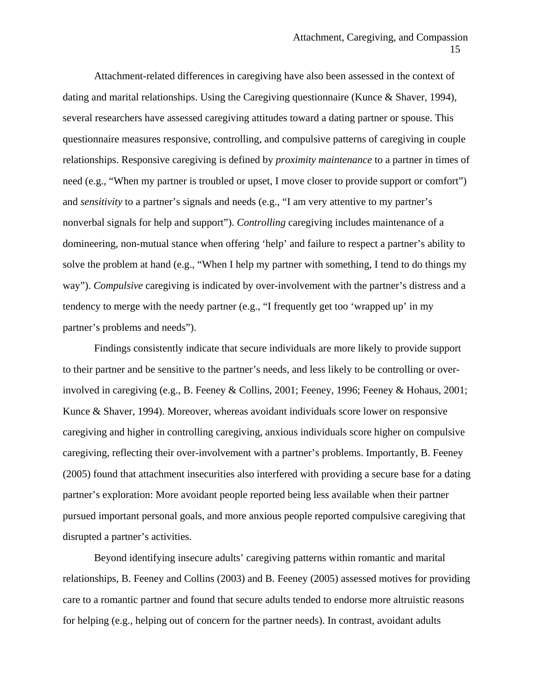Attachment-related differences in caregiving have also been assessed in the context of dating and marital relationships. Using the Caregiving questionnaire (Kunce & Shaver, 1994), several researchers have assessed caregiving attitudes toward a dating partner or spouse. This questionnaire measures responsive, controlling, and compulsive patterns of caregiving in couple relationships. Responsive caregiving is defined by *proximity maintenance* to a partner in times of need (e.g., "When my partner is troubled or upset, I move closer to provide support or comfort") and *sensitivity* to a partner's signals and needs (e.g., "I am very attentive to my partner's nonverbal signals for help and support"). *Controlling* caregiving includes maintenance of a domineering, non-mutual stance when offering 'help' and failure to respect a partner's ability to solve the problem at hand (e.g., "When I help my partner with something, I tend to do things my way"). *Compulsive* caregiving is indicated by over-involvement with the partner's distress and a tendency to merge with the needy partner (e.g., "I frequently get too 'wrapped up' in my partner's problems and needs").

Findings consistently indicate that secure individuals are more likely to provide support to their partner and be sensitive to the partner's needs, and less likely to be controlling or overinvolved in caregiving (e.g., B. Feeney & Collins, 2001; Feeney, 1996; Feeney & Hohaus, 2001; Kunce & Shaver, 1994). Moreover, whereas avoidant individuals score lower on responsive caregiving and higher in controlling caregiving, anxious individuals score higher on compulsive caregiving, reflecting their over-involvement with a partner's problems. Importantly, B. Feeney (2005) found that attachment insecurities also interfered with providing a secure base for a dating partner's exploration: More avoidant people reported being less available when their partner pursued important personal goals, and more anxious people reported compulsive caregiving that disrupted a partner's activities.

Beyond identifying insecure adults' caregiving patterns within romantic and marital relationships, B. Feeney and Collins (2003) and B. Feeney (2005) assessed motives for providing care to a romantic partner and found that secure adults tended to endorse more altruistic reasons for helping (e.g., helping out of concern for the partner needs). In contrast, avoidant adults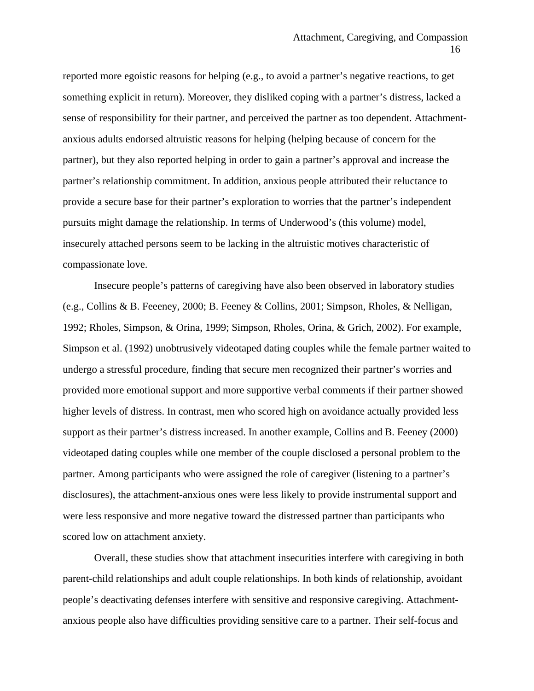reported more egoistic reasons for helping (e.g., to avoid a partner's negative reactions, to get something explicit in return). Moreover, they disliked coping with a partner's distress, lacked a sense of responsibility for their partner, and perceived the partner as too dependent. Attachmentanxious adults endorsed altruistic reasons for helping (helping because of concern for the partner), but they also reported helping in order to gain a partner's approval and increase the partner's relationship commitment. In addition, anxious people attributed their reluctance to provide a secure base for their partner's exploration to worries that the partner's independent pursuits might damage the relationship. In terms of Underwood's (this volume) model, insecurely attached persons seem to be lacking in the altruistic motives characteristic of compassionate love.

Insecure people's patterns of caregiving have also been observed in laboratory studies (e.g., Collins & B. Feeeney, 2000; B. Feeney & Collins, 2001; Simpson, Rholes, & Nelligan, 1992; Rholes, Simpson, & Orina, 1999; Simpson, Rholes, Orina, & Grich, 2002). For example, Simpson et al. (1992) unobtrusively videotaped dating couples while the female partner waited to undergo a stressful procedure, finding that secure men recognized their partner's worries and provided more emotional support and more supportive verbal comments if their partner showed higher levels of distress. In contrast, men who scored high on avoidance actually provided less support as their partner's distress increased. In another example, Collins and B. Feeney (2000) videotaped dating couples while one member of the couple disclosed a personal problem to the partner. Among participants who were assigned the role of caregiver (listening to a partner's disclosures), the attachment-anxious ones were less likely to provide instrumental support and were less responsive and more negative toward the distressed partner than participants who scored low on attachment anxiety.

Overall, these studies show that attachment insecurities interfere with caregiving in both parent-child relationships and adult couple relationships. In both kinds of relationship, avoidant people's deactivating defenses interfere with sensitive and responsive caregiving. Attachmentanxious people also have difficulties providing sensitive care to a partner. Their self-focus and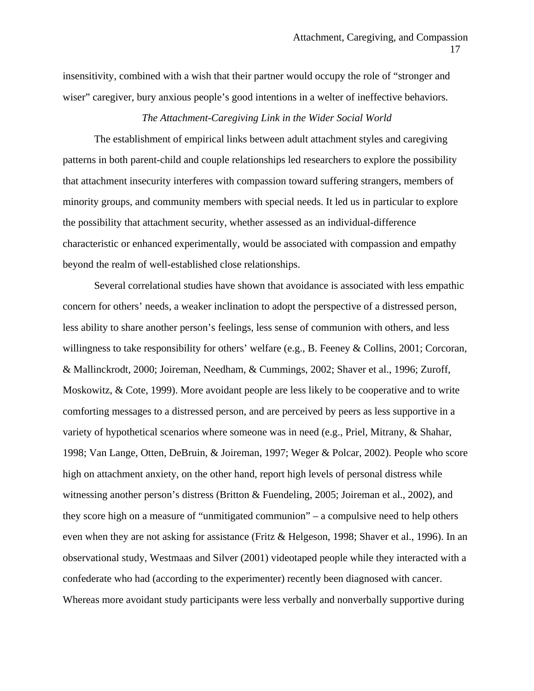insensitivity, combined with a wish that their partner would occupy the role of "stronger and wiser" caregiver, bury anxious people's good intentions in a welter of ineffective behaviors.

## *The Attachment-Caregiving Link in the Wider Social World*

The establishment of empirical links between adult attachment styles and caregiving patterns in both parent-child and couple relationships led researchers to explore the possibility that attachment insecurity interferes with compassion toward suffering strangers, members of minority groups, and community members with special needs. It led us in particular to explore the possibility that attachment security, whether assessed as an individual-difference characteristic or enhanced experimentally, would be associated with compassion and empathy beyond the realm of well-established close relationships.

Several correlational studies have shown that avoidance is associated with less empathic concern for others' needs, a weaker inclination to adopt the perspective of a distressed person, less ability to share another person's feelings, less sense of communion with others, and less willingness to take responsibility for others' welfare (e.g., B. Feeney & Collins, 2001; Corcoran, & Mallinckrodt, 2000; Joireman, Needham, & Cummings, 2002; Shaver et al., 1996; Zuroff, Moskowitz, & Cote, 1999). More avoidant people are less likely to be cooperative and to write comforting messages to a distressed person, and are perceived by peers as less supportive in a variety of hypothetical scenarios where someone was in need (e.g., Priel, Mitrany, & Shahar, 1998; Van Lange, Otten, DeBruin, & Joireman, 1997; Weger & Polcar, 2002). People who score high on attachment anxiety, on the other hand, report high levels of personal distress while witnessing another person's distress (Britton & Fuendeling, 2005; Joireman et al., 2002), and they score high on a measure of "unmitigated communion" – a compulsive need to help others even when they are not asking for assistance (Fritz & Helgeson, 1998; Shaver et al., 1996). In an observational study, Westmaas and Silver (2001) videotaped people while they interacted with a confederate who had (according to the experimenter) recently been diagnosed with cancer. Whereas more avoidant study participants were less verbally and nonverbally supportive during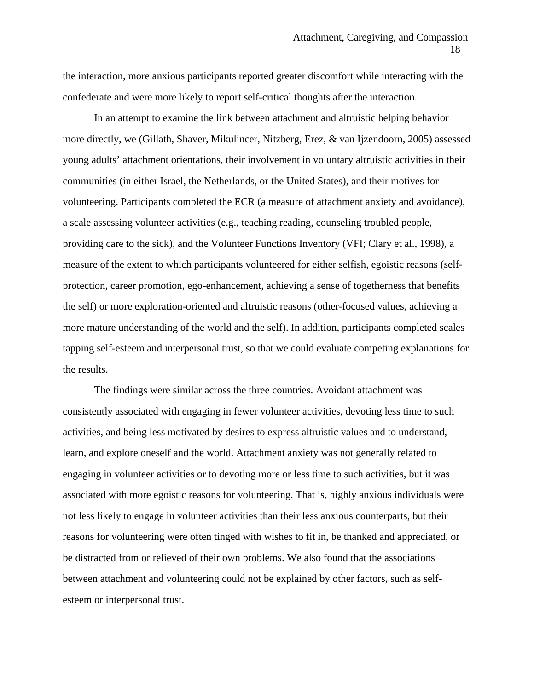the interaction, more anxious participants reported greater discomfort while interacting with the confederate and were more likely to report self-critical thoughts after the interaction.

In an attempt to examine the link between attachment and altruistic helping behavior more directly, we (Gillath, Shaver, Mikulincer, Nitzberg, Erez, & van Ijzendoorn, 2005) assessed young adults' attachment orientations, their involvement in voluntary altruistic activities in their communities (in either Israel, the Netherlands, or the United States), and their motives for volunteering. Participants completed the ECR (a measure of attachment anxiety and avoidance), a scale assessing volunteer activities (e.g., teaching reading, counseling troubled people, providing care to the sick), and the Volunteer Functions Inventory (VFI; Clary et al., 1998), a measure of the extent to which participants volunteered for either selfish, egoistic reasons (selfprotection, career promotion, ego-enhancement, achieving a sense of togetherness that benefits the self) or more exploration-oriented and altruistic reasons (other-focused values, achieving a more mature understanding of the world and the self). In addition, participants completed scales tapping self-esteem and interpersonal trust, so that we could evaluate competing explanations for the results.

The findings were similar across the three countries. Avoidant attachment was consistently associated with engaging in fewer volunteer activities, devoting less time to such activities, and being less motivated by desires to express altruistic values and to understand, learn, and explore oneself and the world. Attachment anxiety was not generally related to engaging in volunteer activities or to devoting more or less time to such activities, but it was associated with more egoistic reasons for volunteering. That is, highly anxious individuals were not less likely to engage in volunteer activities than their less anxious counterparts, but their reasons for volunteering were often tinged with wishes to fit in, be thanked and appreciated, or be distracted from or relieved of their own problems. We also found that the associations between attachment and volunteering could not be explained by other factors, such as selfesteem or interpersonal trust.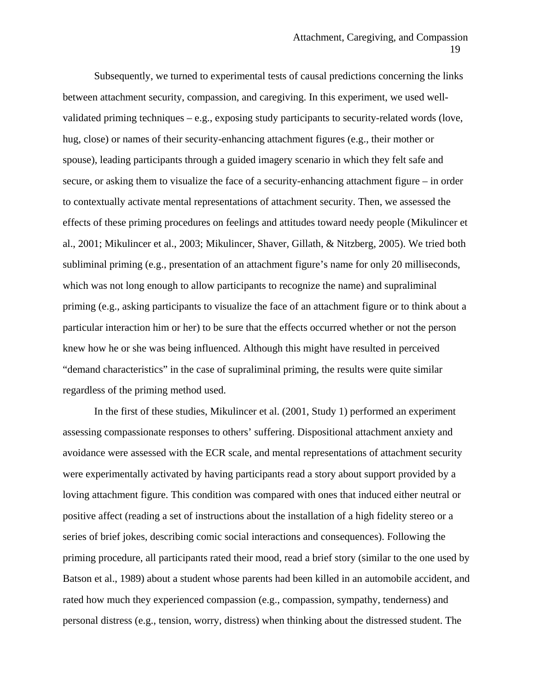Subsequently, we turned to experimental tests of causal predictions concerning the links between attachment security, compassion, and caregiving. In this experiment, we used wellvalidated priming techniques – e.g., exposing study participants to security-related words (love, hug, close) or names of their security-enhancing attachment figures (e.g., their mother or spouse), leading participants through a guided imagery scenario in which they felt safe and secure, or asking them to visualize the face of a security-enhancing attachment figure – in order to contextually activate mental representations of attachment security. Then, we assessed the effects of these priming procedures on feelings and attitudes toward needy people (Mikulincer et al., 2001; Mikulincer et al., 2003; Mikulincer, Shaver, Gillath, & Nitzberg, 2005). We tried both subliminal priming (e.g., presentation of an attachment figure's name for only 20 milliseconds, which was not long enough to allow participants to recognize the name) and supraliminal priming (e.g., asking participants to visualize the face of an attachment figure or to think about a particular interaction him or her) to be sure that the effects occurred whether or not the person knew how he or she was being influenced. Although this might have resulted in perceived "demand characteristics" in the case of supraliminal priming, the results were quite similar regardless of the priming method used.

In the first of these studies, Mikulincer et al. (2001, Study 1) performed an experiment assessing compassionate responses to others' suffering. Dispositional attachment anxiety and avoidance were assessed with the ECR scale, and mental representations of attachment security were experimentally activated by having participants read a story about support provided by a loving attachment figure. This condition was compared with ones that induced either neutral or positive affect (reading a set of instructions about the installation of a high fidelity stereo or a series of brief jokes, describing comic social interactions and consequences). Following the priming procedure, all participants rated their mood, read a brief story (similar to the one used by Batson et al., 1989) about a student whose parents had been killed in an automobile accident, and rated how much they experienced compassion (e.g., compassion, sympathy, tenderness) and personal distress (e.g., tension, worry, distress) when thinking about the distressed student. The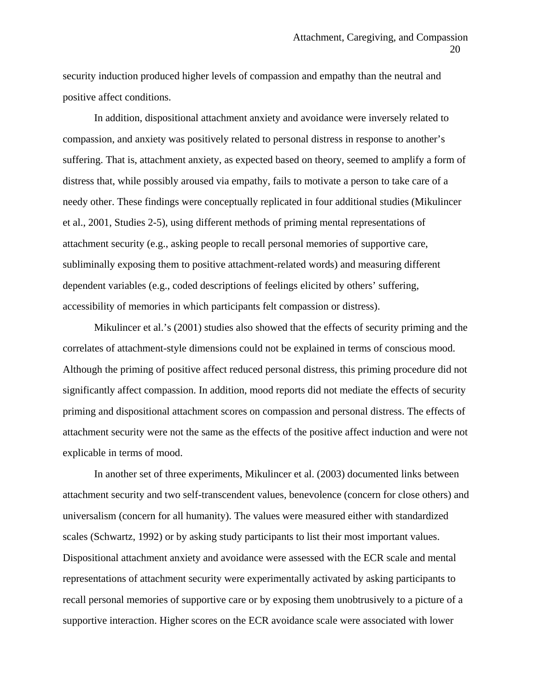security induction produced higher levels of compassion and empathy than the neutral and positive affect conditions.

In addition, dispositional attachment anxiety and avoidance were inversely related to compassion, and anxiety was positively related to personal distress in response to another's suffering. That is, attachment anxiety, as expected based on theory, seemed to amplify a form of distress that, while possibly aroused via empathy, fails to motivate a person to take care of a needy other. These findings were conceptually replicated in four additional studies (Mikulincer et al., 2001, Studies 2-5), using different methods of priming mental representations of attachment security (e.g., asking people to recall personal memories of supportive care, subliminally exposing them to positive attachment-related words) and measuring different dependent variables (e.g., coded descriptions of feelings elicited by others' suffering, accessibility of memories in which participants felt compassion or distress).

Mikulincer et al.'s (2001) studies also showed that the effects of security priming and the correlates of attachment-style dimensions could not be explained in terms of conscious mood. Although the priming of positive affect reduced personal distress, this priming procedure did not significantly affect compassion. In addition, mood reports did not mediate the effects of security priming and dispositional attachment scores on compassion and personal distress. The effects of attachment security were not the same as the effects of the positive affect induction and were not explicable in terms of mood.

In another set of three experiments, Mikulincer et al. (2003) documented links between attachment security and two self-transcendent values, benevolence (concern for close others) and universalism (concern for all humanity). The values were measured either with standardized scales (Schwartz, 1992) or by asking study participants to list their most important values. Dispositional attachment anxiety and avoidance were assessed with the ECR scale and mental representations of attachment security were experimentally activated by asking participants to recall personal memories of supportive care or by exposing them unobtrusively to a picture of a supportive interaction. Higher scores on the ECR avoidance scale were associated with lower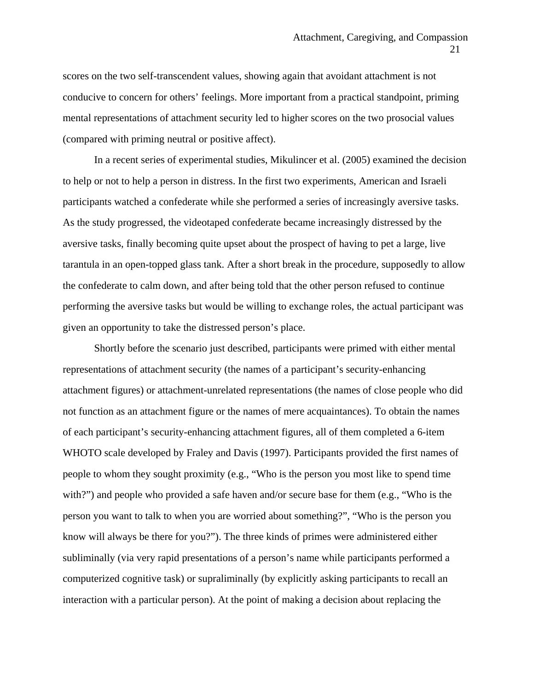scores on the two self-transcendent values, showing again that avoidant attachment is not conducive to concern for others' feelings. More important from a practical standpoint, priming mental representations of attachment security led to higher scores on the two prosocial values (compared with priming neutral or positive affect).

In a recent series of experimental studies, Mikulincer et al. (2005) examined the decision to help or not to help a person in distress. In the first two experiments, American and Israeli participants watched a confederate while she performed a series of increasingly aversive tasks. As the study progressed, the videotaped confederate became increasingly distressed by the aversive tasks, finally becoming quite upset about the prospect of having to pet a large, live tarantula in an open-topped glass tank. After a short break in the procedure, supposedly to allow the confederate to calm down, and after being told that the other person refused to continue performing the aversive tasks but would be willing to exchange roles, the actual participant was given an opportunity to take the distressed person's place.

Shortly before the scenario just described, participants were primed with either mental representations of attachment security (the names of a participant's security-enhancing attachment figures) or attachment-unrelated representations (the names of close people who did not function as an attachment figure or the names of mere acquaintances). To obtain the names of each participant's security-enhancing attachment figures, all of them completed a 6-item WHOTO scale developed by Fraley and Davis (1997). Participants provided the first names of people to whom they sought proximity (e.g., "Who is the person you most like to spend time with?") and people who provided a safe haven and/or secure base for them (e.g., "Who is the person you want to talk to when you are worried about something?", "Who is the person you know will always be there for you?"). The three kinds of primes were administered either subliminally (via very rapid presentations of a person's name while participants performed a computerized cognitive task) or supraliminally (by explicitly asking participants to recall an interaction with a particular person). At the point of making a decision about replacing the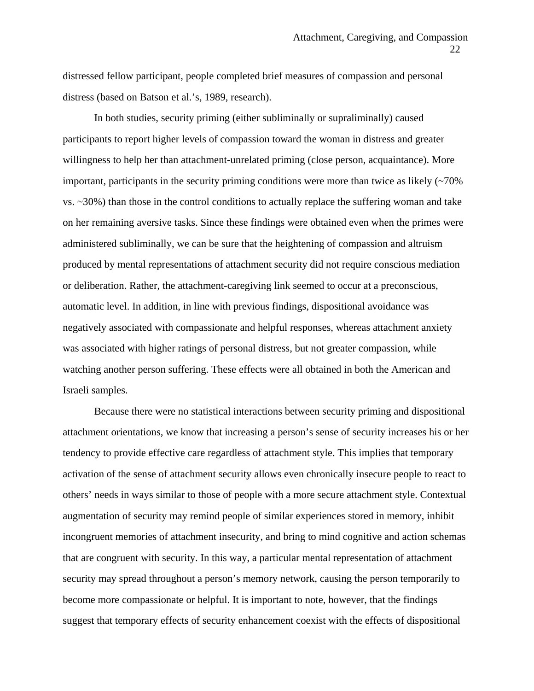distressed fellow participant, people completed brief measures of compassion and personal distress (based on Batson et al.'s, 1989, research).

In both studies, security priming (either subliminally or supraliminally) caused participants to report higher levels of compassion toward the woman in distress and greater willingness to help her than attachment-unrelated priming (close person, acquaintance). More important, participants in the security priming conditions were more than twice as likely  $\left(\sim 70\% \right)$ vs. ~30%) than those in the control conditions to actually replace the suffering woman and take on her remaining aversive tasks. Since these findings were obtained even when the primes were administered subliminally, we can be sure that the heightening of compassion and altruism produced by mental representations of attachment security did not require conscious mediation or deliberation. Rather, the attachment-caregiving link seemed to occur at a preconscious, automatic level. In addition, in line with previous findings, dispositional avoidance was negatively associated with compassionate and helpful responses, whereas attachment anxiety was associated with higher ratings of personal distress, but not greater compassion, while watching another person suffering. These effects were all obtained in both the American and Israeli samples.

Because there were no statistical interactions between security priming and dispositional attachment orientations, we know that increasing a person's sense of security increases his or her tendency to provide effective care regardless of attachment style. This implies that temporary activation of the sense of attachment security allows even chronically insecure people to react to others' needs in ways similar to those of people with a more secure attachment style. Contextual augmentation of security may remind people of similar experiences stored in memory, inhibit incongruent memories of attachment insecurity, and bring to mind cognitive and action schemas that are congruent with security. In this way, a particular mental representation of attachment security may spread throughout a person's memory network, causing the person temporarily to become more compassionate or helpful. It is important to note, however, that the findings suggest that temporary effects of security enhancement coexist with the effects of dispositional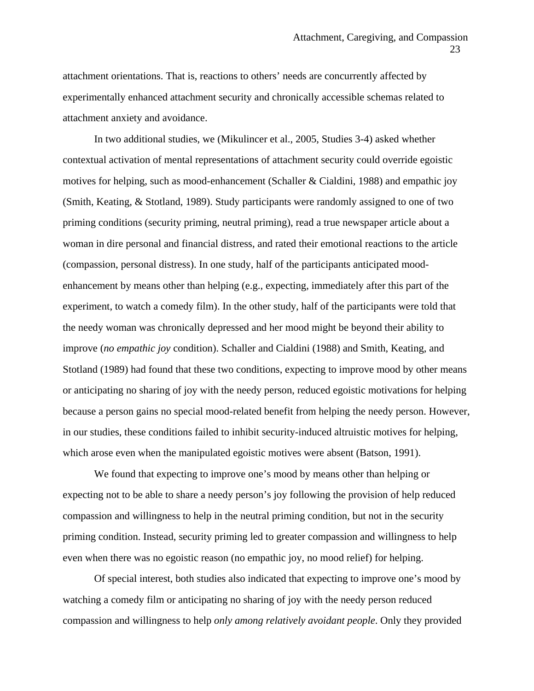attachment orientations. That is, reactions to others' needs are concurrently affected by experimentally enhanced attachment security and chronically accessible schemas related to attachment anxiety and avoidance.

In two additional studies, we (Mikulincer et al., 2005, Studies 3-4) asked whether contextual activation of mental representations of attachment security could override egoistic motives for helping, such as mood-enhancement (Schaller & Cialdini, 1988) and empathic joy (Smith, Keating, & Stotland, 1989). Study participants were randomly assigned to one of two priming conditions (security priming, neutral priming), read a true newspaper article about a woman in dire personal and financial distress, and rated their emotional reactions to the article (compassion, personal distress). In one study, half of the participants anticipated moodenhancement by means other than helping (e.g., expecting, immediately after this part of the experiment, to watch a comedy film). In the other study, half of the participants were told that the needy woman was chronically depressed and her mood might be beyond their ability to improve (*no empathic joy* condition). Schaller and Cialdini (1988) and Smith, Keating, and Stotland (1989) had found that these two conditions, expecting to improve mood by other means or anticipating no sharing of joy with the needy person, reduced egoistic motivations for helping because a person gains no special mood-related benefit from helping the needy person. However, in our studies, these conditions failed to inhibit security-induced altruistic motives for helping, which arose even when the manipulated egoistic motives were absent (Batson, 1991).

We found that expecting to improve one's mood by means other than helping or expecting not to be able to share a needy person's joy following the provision of help reduced compassion and willingness to help in the neutral priming condition, but not in the security priming condition. Instead, security priming led to greater compassion and willingness to help even when there was no egoistic reason (no empathic joy, no mood relief) for helping.

Of special interest, both studies also indicated that expecting to improve one's mood by watching a comedy film or anticipating no sharing of joy with the needy person reduced compassion and willingness to help *only among relatively avoidant people*. Only they provided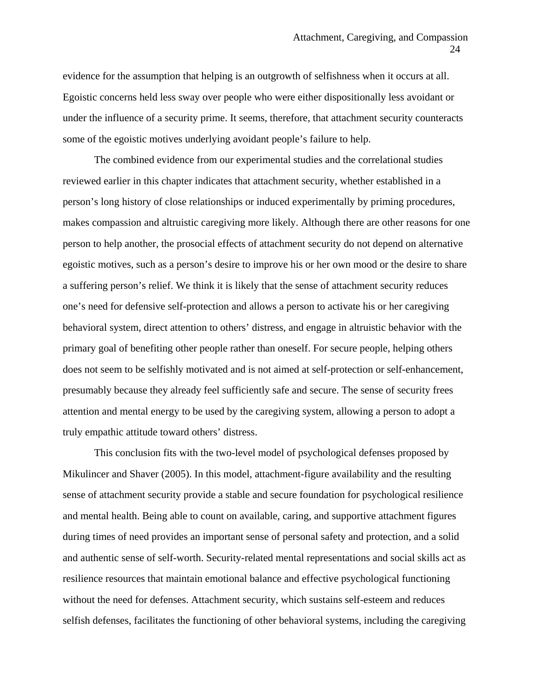evidence for the assumption that helping is an outgrowth of selfishness when it occurs at all. Egoistic concerns held less sway over people who were either dispositionally less avoidant or under the influence of a security prime. It seems, therefore, that attachment security counteracts some of the egoistic motives underlying avoidant people's failure to help.

The combined evidence from our experimental studies and the correlational studies reviewed earlier in this chapter indicates that attachment security, whether established in a person's long history of close relationships or induced experimentally by priming procedures, makes compassion and altruistic caregiving more likely. Although there are other reasons for one person to help another, the prosocial effects of attachment security do not depend on alternative egoistic motives, such as a person's desire to improve his or her own mood or the desire to share a suffering person's relief. We think it is likely that the sense of attachment security reduces one's need for defensive self-protection and allows a person to activate his or her caregiving behavioral system, direct attention to others' distress, and engage in altruistic behavior with the primary goal of benefiting other people rather than oneself. For secure people, helping others does not seem to be selfishly motivated and is not aimed at self-protection or self-enhancement, presumably because they already feel sufficiently safe and secure. The sense of security frees attention and mental energy to be used by the caregiving system, allowing a person to adopt a truly empathic attitude toward others' distress.

This conclusion fits with the two-level model of psychological defenses proposed by Mikulincer and Shaver (2005). In this model, attachment-figure availability and the resulting sense of attachment security provide a stable and secure foundation for psychological resilience and mental health. Being able to count on available, caring, and supportive attachment figures during times of need provides an important sense of personal safety and protection, and a solid and authentic sense of self-worth. Security-related mental representations and social skills act as resilience resources that maintain emotional balance and effective psychological functioning without the need for defenses. Attachment security, which sustains self-esteem and reduces selfish defenses, facilitates the functioning of other behavioral systems, including the caregiving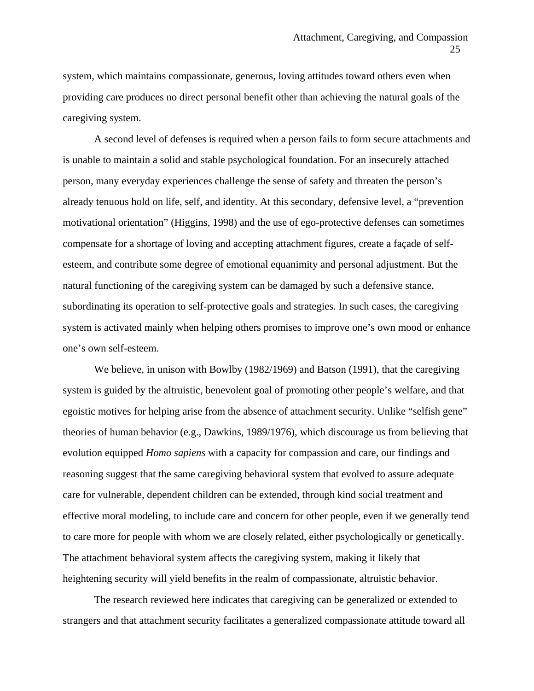system, which maintains compassionate, generous, loving attitudes toward others even when providing care produces no direct personal benefit other than achieving the natural goals of the caregiving system.

A second level of defenses is required when a person fails to form secure attachments and is unable to maintain a solid and stable psychological foundation. For an insecurely attached person, many everyday experiences challenge the sense of safety and threaten the person's already tenuous hold on life, self, and identity. At this secondary, defensive level, a "prevention motivational orientation" (Higgins, 1998) and the use of ego-protective defenses can sometimes compensate for a shortage of loving and accepting attachment figures, create a façade of selfesteem, and contribute some degree of emotional equanimity and personal adjustment. But the natural functioning of the caregiving system can be damaged by such a defensive stance, subordinating its operation to self-protective goals and strategies. In such cases, the caregiving system is activated mainly when helping others promises to improve one's own mood or enhance one's own self-esteem.

We believe, in unison with Bowlby (1982/1969) and Batson (1991), that the caregiving system is guided by the altruistic, benevolent goal of promoting other people's welfare, and that egoistic motives for helping arise from the absence of attachment security. Unlike "selfish gene" theories of human behavior (e.g., Dawkins, 1989/1976), which discourage us from believing that evolution equipped *Homo sapiens* with a capacity for compassion and care, our findings and reasoning suggest that the same caregiving behavioral system that evolved to assure adequate care for vulnerable, dependent children can be extended, through kind social treatment and effective moral modeling, to include care and concern for other people, even if we generally tend to care more for people with whom we are closely related, either psychologically or genetically. The attachment behavioral system affects the caregiving system, making it likely that heightening security will yield benefits in the realm of compassionate, altruistic behavior.

The research reviewed here indicates that caregiving can be generalized or extended to strangers and that attachment security facilitates a generalized compassionate attitude toward all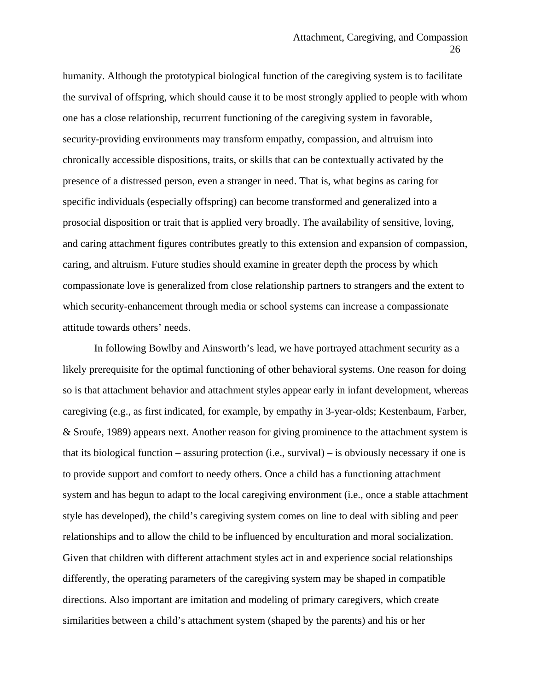humanity. Although the prototypical biological function of the caregiving system is to facilitate the survival of offspring, which should cause it to be most strongly applied to people with whom one has a close relationship, recurrent functioning of the caregiving system in favorable, security-providing environments may transform empathy, compassion, and altruism into chronically accessible dispositions, traits, or skills that can be contextually activated by the presence of a distressed person, even a stranger in need. That is, what begins as caring for specific individuals (especially offspring) can become transformed and generalized into a prosocial disposition or trait that is applied very broadly. The availability of sensitive, loving, and caring attachment figures contributes greatly to this extension and expansion of compassion, caring, and altruism. Future studies should examine in greater depth the process by which compassionate love is generalized from close relationship partners to strangers and the extent to which security-enhancement through media or school systems can increase a compassionate attitude towards others' needs.

In following Bowlby and Ainsworth's lead, we have portrayed attachment security as a likely prerequisite for the optimal functioning of other behavioral systems. One reason for doing so is that attachment behavior and attachment styles appear early in infant development, whereas caregiving (e.g., as first indicated, for example, by empathy in 3-year-olds; Kestenbaum, Farber, & Sroufe, 1989) appears next. Another reason for giving prominence to the attachment system is that its biological function – assuring protection (i.e., survival) – is obviously necessary if one is to provide support and comfort to needy others. Once a child has a functioning attachment system and has begun to adapt to the local caregiving environment (i.e., once a stable attachment style has developed), the child's caregiving system comes on line to deal with sibling and peer relationships and to allow the child to be influenced by enculturation and moral socialization. Given that children with different attachment styles act in and experience social relationships differently, the operating parameters of the caregiving system may be shaped in compatible directions. Also important are imitation and modeling of primary caregivers, which create similarities between a child's attachment system (shaped by the parents) and his or her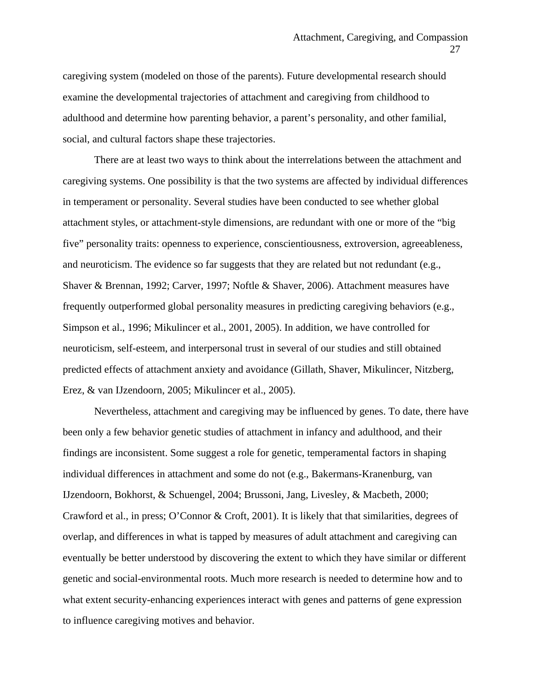caregiving system (modeled on those of the parents). Future developmental research should examine the developmental trajectories of attachment and caregiving from childhood to adulthood and determine how parenting behavior, a parent's personality, and other familial, social, and cultural factors shape these trajectories.

There are at least two ways to think about the interrelations between the attachment and caregiving systems. One possibility is that the two systems are affected by individual differences in temperament or personality. Several studies have been conducted to see whether global attachment styles, or attachment-style dimensions, are redundant with one or more of the "big five" personality traits: openness to experience, conscientiousness, extroversion, agreeableness, and neuroticism. The evidence so far suggests that they are related but not redundant (e.g., Shaver & Brennan, 1992; Carver, 1997; Noftle & Shaver, 2006). Attachment measures have frequently outperformed global personality measures in predicting caregiving behaviors (e.g., Simpson et al., 1996; Mikulincer et al., 2001, 2005). In addition, we have controlled for neuroticism, self-esteem, and interpersonal trust in several of our studies and still obtained predicted effects of attachment anxiety and avoidance (Gillath, Shaver, Mikulincer, Nitzberg, Erez, & van IJzendoorn, 2005; Mikulincer et al., 2005).

Nevertheless, attachment and caregiving may be influenced by genes. To date, there have been only a few behavior genetic studies of attachment in infancy and adulthood, and their findings are inconsistent. Some suggest a role for genetic, temperamental factors in shaping individual differences in attachment and some do not (e.g., Bakermans-Kranenburg, van IJzendoorn, Bokhorst, & Schuengel, 2004; Brussoni, Jang, Livesley, & Macbeth, 2000; Crawford et al., in press; O'Connor & Croft, 2001). It is likely that that similarities, degrees of overlap, and differences in what is tapped by measures of adult attachment and caregiving can eventually be better understood by discovering the extent to which they have similar or different genetic and social-environmental roots. Much more research is needed to determine how and to what extent security-enhancing experiences interact with genes and patterns of gene expression to influence caregiving motives and behavior.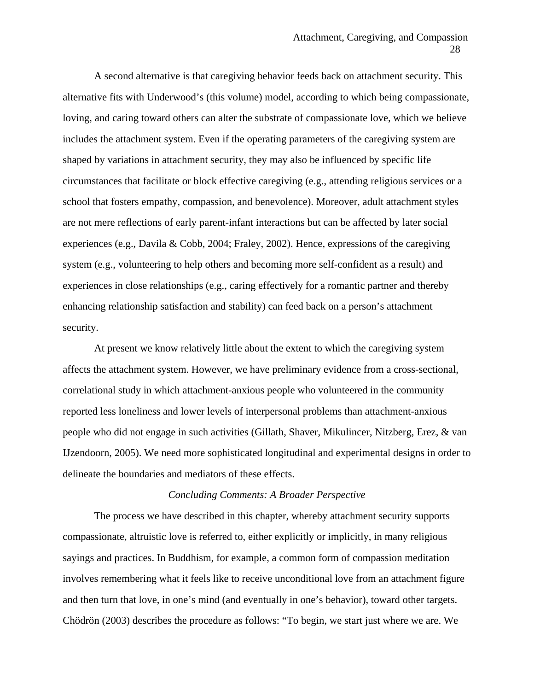A second alternative is that caregiving behavior feeds back on attachment security. This alternative fits with Underwood's (this volume) model, according to which being compassionate, loving, and caring toward others can alter the substrate of compassionate love, which we believe includes the attachment system. Even if the operating parameters of the caregiving system are shaped by variations in attachment security, they may also be influenced by specific life circumstances that facilitate or block effective caregiving (e.g., attending religious services or a school that fosters empathy, compassion, and benevolence). Moreover, adult attachment styles are not mere reflections of early parent-infant interactions but can be affected by later social experiences (e.g., Davila & Cobb, 2004; Fraley, 2002). Hence, expressions of the caregiving system (e.g., volunteering to help others and becoming more self-confident as a result) and experiences in close relationships (e.g., caring effectively for a romantic partner and thereby enhancing relationship satisfaction and stability) can feed back on a person's attachment security.

At present we know relatively little about the extent to which the caregiving system affects the attachment system. However, we have preliminary evidence from a cross-sectional, correlational study in which attachment-anxious people who volunteered in the community reported less loneliness and lower levels of interpersonal problems than attachment-anxious people who did not engage in such activities (Gillath, Shaver, Mikulincer, Nitzberg, Erez, & van IJzendoorn, 2005). We need more sophisticated longitudinal and experimental designs in order to delineate the boundaries and mediators of these effects.

## *Concluding Comments: A Broader Perspective*

The process we have described in this chapter, whereby attachment security supports compassionate, altruistic love is referred to, either explicitly or implicitly, in many religious sayings and practices. In Buddhism, for example, a common form of compassion meditation involves remembering what it feels like to receive unconditional love from an attachment figure and then turn that love, in one's mind (and eventually in one's behavior), toward other targets. Chödrön (2003) describes the procedure as follows: "To begin, we start just where we are. We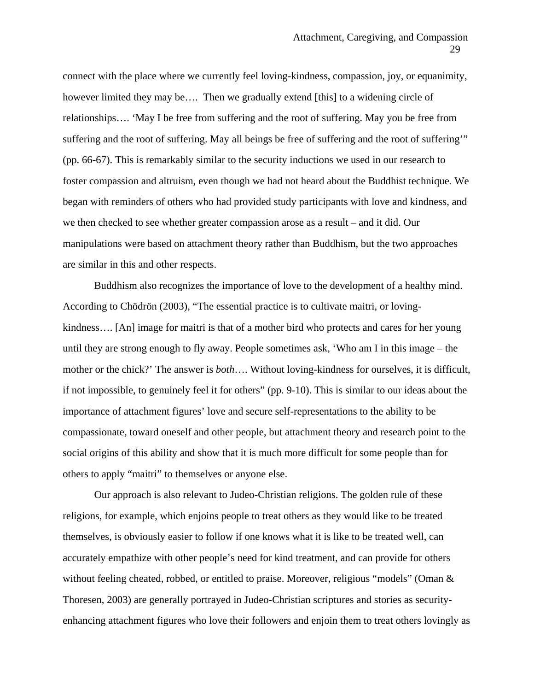connect with the place where we currently feel loving-kindness, compassion, joy, or equanimity, however limited they may be.... Then we gradually extend [this] to a widening circle of relationships…. 'May I be free from suffering and the root of suffering. May you be free from suffering and the root of suffering. May all beings be free of suffering and the root of suffering'" (pp. 66-67). This is remarkably similar to the security inductions we used in our research to foster compassion and altruism, even though we had not heard about the Buddhist technique. We began with reminders of others who had provided study participants with love and kindness, and we then checked to see whether greater compassion arose as a result – and it did. Our manipulations were based on attachment theory rather than Buddhism, but the two approaches are similar in this and other respects.

Buddhism also recognizes the importance of love to the development of a healthy mind. According to Chödrön (2003), "The essential practice is to cultivate maitri, or lovingkindness.... [An] image for maitri is that of a mother bird who protects and cares for her young until they are strong enough to fly away. People sometimes ask, 'Who am I in this image – the mother or the chick?' The answer is *both*…. Without loving-kindness for ourselves, it is difficult, if not impossible, to genuinely feel it for others" (pp. 9-10). This is similar to our ideas about the importance of attachment figures' love and secure self-representations to the ability to be compassionate, toward oneself and other people, but attachment theory and research point to the social origins of this ability and show that it is much more difficult for some people than for others to apply "maitri" to themselves or anyone else.

Our approach is also relevant to Judeo-Christian religions. The golden rule of these religions, for example, which enjoins people to treat others as they would like to be treated themselves, is obviously easier to follow if one knows what it is like to be treated well, can accurately empathize with other people's need for kind treatment, and can provide for others without feeling cheated, robbed, or entitled to praise. Moreover, religious "models" (Oman & Thoresen, 2003) are generally portrayed in Judeo-Christian scriptures and stories as securityenhancing attachment figures who love their followers and enjoin them to treat others lovingly as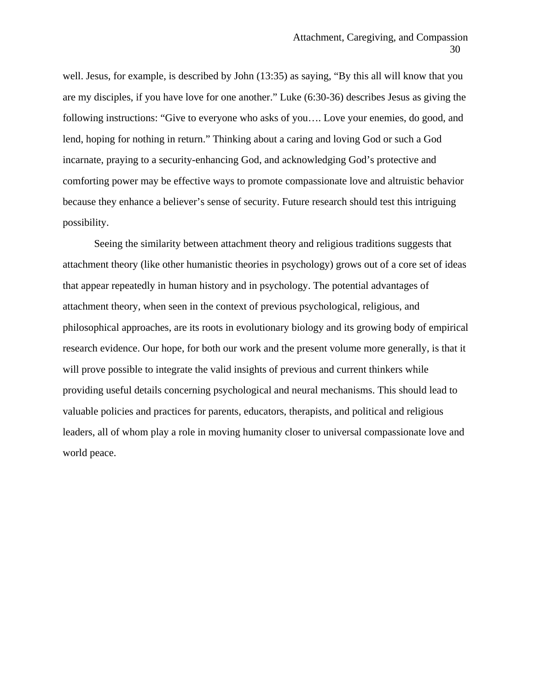well. Jesus, for example, is described by John (13:35) as saying, "By this all will know that you are my disciples, if you have love for one another." Luke (6:30-36) describes Jesus as giving the following instructions: "Give to everyone who asks of you…. Love your enemies, do good, and lend, hoping for nothing in return." Thinking about a caring and loving God or such a God incarnate, praying to a security-enhancing God, and acknowledging God's protective and comforting power may be effective ways to promote compassionate love and altruistic behavior because they enhance a believer's sense of security. Future research should test this intriguing possibility.

Seeing the similarity between attachment theory and religious traditions suggests that attachment theory (like other humanistic theories in psychology) grows out of a core set of ideas that appear repeatedly in human history and in psychology. The potential advantages of attachment theory, when seen in the context of previous psychological, religious, and philosophical approaches, are its roots in evolutionary biology and its growing body of empirical research evidence. Our hope, for both our work and the present volume more generally, is that it will prove possible to integrate the valid insights of previous and current thinkers while providing useful details concerning psychological and neural mechanisms. This should lead to valuable policies and practices for parents, educators, therapists, and political and religious leaders, all of whom play a role in moving humanity closer to universal compassionate love and world peace.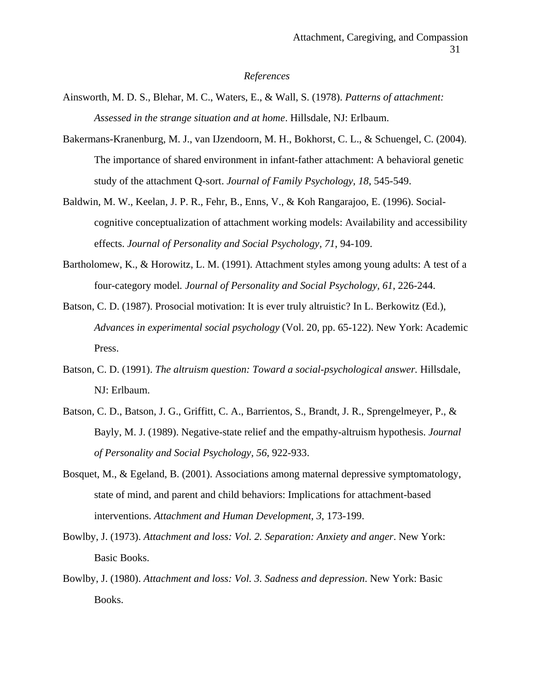### *References*

- Ainsworth, M. D. S., Blehar, M. C., Waters, E., & Wall, S. (1978). *Patterns of attachment: Assessed in the strange situation and at home*. Hillsdale, NJ: Erlbaum.
- Bakermans-Kranenburg, M. J., van IJzendoorn, M. H., Bokhorst, C. L., & Schuengel, C. (2004). The importance of shared environment in infant-father attachment: A behavioral genetic study of the attachment Q-sort. *Journal of Family Psychology, 18*, 545-549.
- Baldwin, M. W., Keelan, J. P. R., Fehr, B., Enns, V., & Koh Rangarajoo, E. (1996). Socialcognitive conceptualization of attachment working models: Availability and accessibility effects. *Journal of Personality and Social Psychology, 71*, 94-109.
- Bartholomew, K., & Horowitz, L. M. (1991). Attachment styles among young adults: A test of a four-category model*. Journal of Personality and Social Psychology, 61*, 226-244.
- Batson, C. D. (1987). Prosocial motivation: It is ever truly altruistic? In L. Berkowitz (Ed.), *Advances in experimental social psychology* (Vol. 20, pp. 65-122). New York: Academic Press.
- Batson, C. D. (1991). *The altruism question: Toward a social-psychological answer.* Hillsdale, NJ: Erlbaum.
- Batson, C. D., Batson, J. G., Griffitt, C. A., Barrientos, S., Brandt, J. R., Sprengelmeyer, P., & Bayly, M. J. (1989). Negative-state relief and the empathy-altruism hypothesis. *Journal of Personality and Social Psychology, 56*, 922-933.
- Bosquet, M., & Egeland, B. (2001). Associations among maternal depressive symptomatology, state of mind, and parent and child behaviors: Implications for attachment-based interventions. *Attachment and Human Development, 3*, 173-199.
- Bowlby, J. (1973). *Attachment and loss: Vol. 2. Separation: Anxiety and anger*. New York: Basic Books.
- Bowlby, J. (1980). *Attachment and loss: Vol. 3. Sadness and depression*. New York: Basic Books.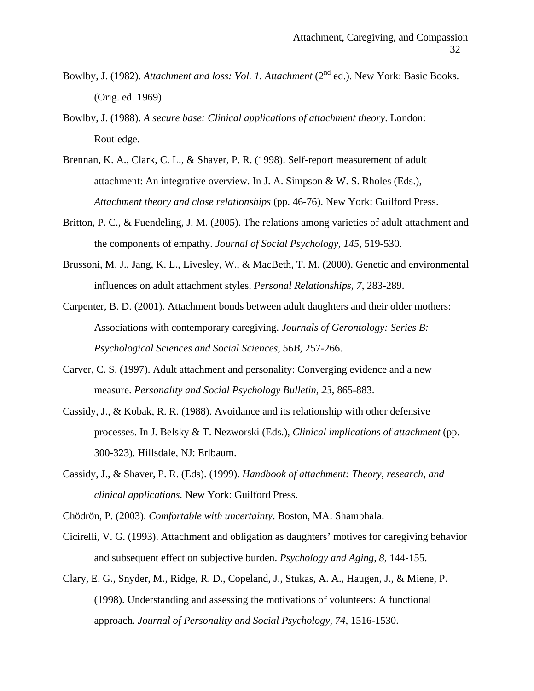- Bowlby, J. (1982). *Attachment and loss: Vol. 1. Attachment* (2<sup>nd</sup> ed.). New York: Basic Books. (Orig. ed. 1969)
- Bowlby, J. (1988). *A secure base: Clinical applications of attachment theory*. London: Routledge.
- Brennan, K. A., Clark, C. L., & Shaver, P. R. (1998). Self-report measurement of adult attachment: An integrative overview. In J. A. Simpson & W. S. Rholes (Eds.), *Attachment theory and close relationships* (pp. 46-76). New York: Guilford Press.
- Britton, P. C., & Fuendeling, J. M. (2005). The relations among varieties of adult attachment and the components of empathy. *Journal of Social Psychology, 145*, 519-530.
- Brussoni, M. J., Jang, K. L., Livesley, W., & MacBeth, T. M. (2000). Genetic and environmental influences on adult attachment styles. *Personal Relationships, 7*, 283-289.
- Carpenter, B. D. (2001). Attachment bonds between adult daughters and their older mothers: Associations with contemporary caregiving. *Journals of Gerontology: Series B: Psychological Sciences and Social Sciences, 56B*, 257-266.
- Carver, C. S. (1997). Adult attachment and personality: Converging evidence and a new measure. *Personality and Social Psychology Bulletin, 23*, 865-883.
- Cassidy, J., & Kobak, R. R. (1988). Avoidance and its relationship with other defensive processes. In J. Belsky & T. Nezworski (Eds.), *Clinical implications of attachment* (pp. 300-323). Hillsdale, NJ: Erlbaum.
- Cassidy, J., & Shaver, P. R. (Eds). (1999). *Handbook of attachment: Theory, research, and clinical applications.* New York: Guilford Press.
- Chödrön, P. (2003). *Comfortable with uncertainty*. Boston, MA: Shambhala.
- Cicirelli, V. G. (1993). Attachment and obligation as daughters' motives for caregiving behavior and subsequent effect on subjective burden. *Psychology and Aging, 8*, 144-155.
- Clary, E. G., Snyder, M., Ridge, R. D., Copeland, J., Stukas, A. A., Haugen, J., & Miene, P. (1998). Understanding and assessing the motivations of volunteers: A functional approach. *Journal of Personality and Social Psychology, 74*, 1516-1530.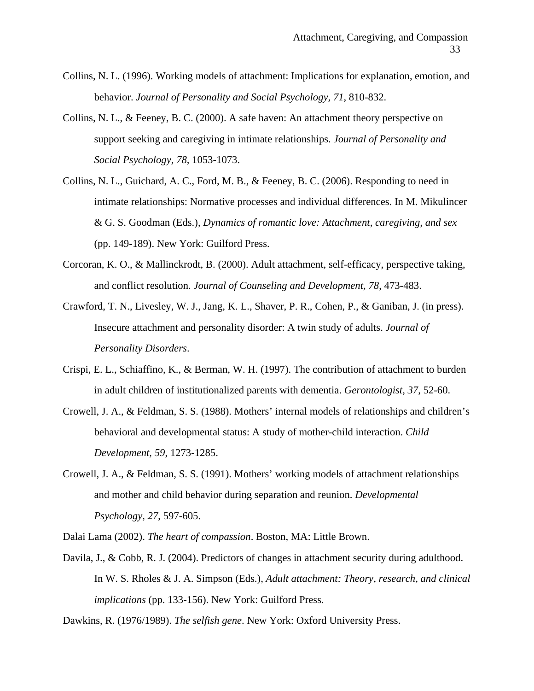- Collins, N. L. (1996). Working models of attachment: Implications for explanation, emotion, and behavior. *Journal of Personality and Social Psychology, 71*, 810-832.
- Collins, N. L., & Feeney, B. C. (2000). A safe haven: An attachment theory perspective on support seeking and caregiving in intimate relationships. *Journal of Personality and Social Psychology, 78,* 1053-1073.
- Collins, N. L., Guichard, A. C., Ford, M. B., & Feeney, B. C. (2006). Responding to need in intimate relationships: Normative processes and individual differences. In M. Mikulincer & G. S. Goodman (Eds.), *Dynamics of romantic love: Attachment, caregiving, and sex*  (pp. 149-189). New York: Guilford Press.
- Corcoran, K. O., & Mallinckrodt, B. (2000). Adult attachment, self-efficacy, perspective taking, and conflict resolution. *Journal of Counseling and Development, 78*, 473-483.
- Crawford, T. N., Livesley, W. J., Jang, K. L., Shaver, P. R., Cohen, P., & Ganiban, J. (in press). Insecure attachment and personality disorder: A twin study of adults. *Journal of Personality Disorders*.
- Crispi, E. L., Schiaffino, K., & Berman, W. H. (1997). The contribution of attachment to burden in adult children of institutionalized parents with dementia. *[Gerontologist,](http://132.70.177.241/webspirs/doLS.ws?ss=Gerontologist-+in+SO) 37*, 52-60.
- Crowell, J. A., & Feldman, S. S. (1988). Mothers' internal models of relationships and children's behavioral and developmental status: A study of mother-child interaction. *Child Development, 59*, 1273-1285.
- Crowell, J. A., & Feldman, S. S. (1991). Mothers' working models of attachment relationships and mother and child behavior during separation and reunion. *Developmental Psychology, 27*, 597-605.

Dalai Lama (2002). *The heart of compassion*. Boston, MA: Little Brown.

Davila, J., & Cobb, R. J. (2004). Predictors of changes in attachment security during adulthood. In W. S. Rholes & J. A. Simpson (Eds.), *Adult attachment: Theory, research, and clinical implications* (pp. 133-156). New York: Guilford Press.

Dawkins, R. (1976/1989). *The selfish gene*. New York: Oxford University Press.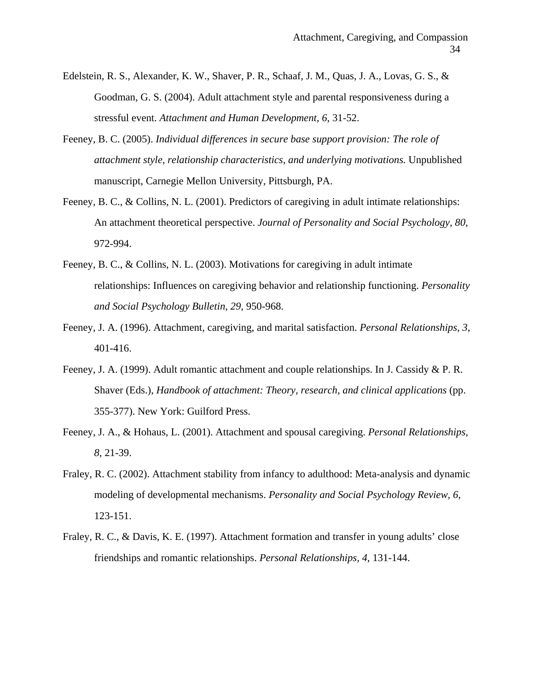- Edelstein, R. S., Alexander, K. W., Shaver, P. R., Schaaf, J. M., Quas, J. A., Lovas, G. S., & Goodman, G. S. (2004). Adult attachment style and parental responsiveness during a stressful event. *Attachment and Human Development, 6*, 31-52.
- Feeney, B. C. (2005). *Individual differences in secure base support provision: The role of attachment style, relationship characteristics, and underlying motivations.* Unpublished manuscript, Carnegie Mellon University, Pittsburgh, PA.
- Feeney, B. C., & Collins, N. L. (2001). Predictors of caregiving in adult intimate relationships: An attachment theoretical perspective. *Journal of Personality and Social Psychology, 80,* 972-994.
- Feeney, B. C., & Collins, N. L. (2003). Motivations for caregiving in adult intimate relationships: Influences on caregiving behavior and relationship functioning. *Personality and Social Psychology Bulletin*, *29*, 950-968.
- Feeney, J. A. (1996). Attachment, caregiving, and marital satisfaction. *Personal Relationships*, *3*, 401-416.
- Feeney, J. A. (1999). Adult romantic attachment and couple relationships. In J. Cassidy & P. R. Shaver (Eds.), *Handbook of attachment: Theory, research, and clinical applications* (pp. 355-377). New York: Guilford Press.
- Feeney, J. A., & Hohaus, L. (2001). Attachment and spousal caregiving. *Personal Relationships, 8*, 21-39.
- Fraley, R. C. (2002). Attachment stability from infancy to adulthood: Meta-analysis and dynamic modeling of developmental mechanisms. *Personality and Social Psychology Review, 6,* 123-151.
- Fraley, R. C., & Davis, K. E. (1997). Attachment formation and transfer in young adults' close friendships and romantic relationships. *Personal Relationships, 4*, 131-144.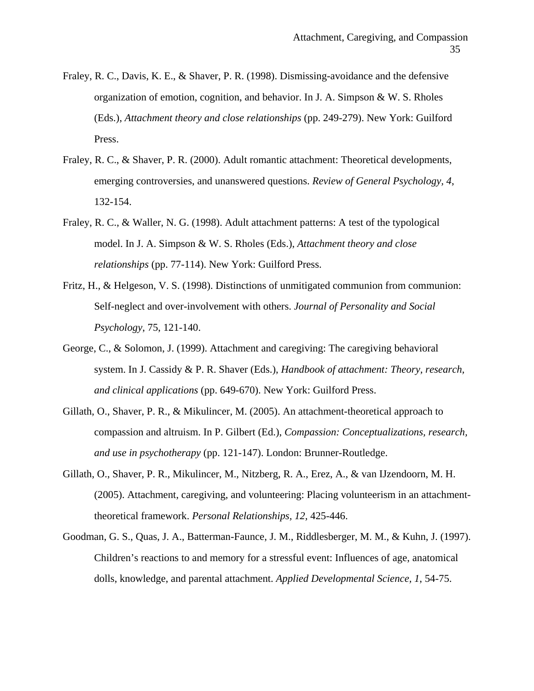- Fraley, R. C., Davis, K. E., & Shaver, P. R. (1998). Dismissing-avoidance and the defensive organization of emotion, cognition, and behavior. In J. A. Simpson  $\&$  W. S. Rholes (Eds.), *Attachment theory and close relationships* (pp. 249-279). New York: Guilford Press.
- Fraley, R. C., & Shaver, P. R. (2000). Adult romantic attachment: Theoretical developments, emerging controversies, and unanswered questions. *Review of General Psychology, 4*, 132-154.
- Fraley, R. C., & Waller, N. G. (1998). Adult attachment patterns: A test of the typological model. In J. A. Simpson & W. S. Rholes (Eds.), *Attachment theory and close relationships* (pp. 77-114). New York: Guilford Press.
- Fritz, H., & Helgeson, V. S. (1998). Distinctions of unmitigated communion from communion: Self-neglect and over-involvement with others. *[Journal of Personality and Social](http://132.70.177.241/webspirs/doLS.ws?ss=Journal-of-Personality-and-Social-Psychology+in+SO)  [Psychology](http://132.70.177.241/webspirs/doLS.ws?ss=Journal-of-Personality-and-Social-Psychology+in+SO)*, 75, 121-140.
- George, C., & Solomon, J. (1999). Attachment and caregiving: The caregiving behavioral system. In J. Cassidy & P. R. Shaver (Eds.), *Handbook of attachment: Theory, research, and clinical applications* (pp. 649-670). New York: Guilford Press.
- Gillath, O., Shaver, P. R., & Mikulincer, M. (2005). An attachment-theoretical approach to compassion and altruism. In P. Gilbert (Ed.), *Compassion: Conceptualizations, research, and use in psychotherapy* (pp. 121-147). London: Brunner-Routledge.
- Gillath, O., Shaver, P. R., Mikulincer, M., Nitzberg, R. A., Erez, A., & van IJzendoorn, M. H. (2005). Attachment, caregiving, and volunteering: Placing volunteerism in an attachmenttheoretical framework. *Personal Relationships, 12,* 425-446.
- Goodman, G. S., Quas, J. A., Batterman-Faunce, J. M., Riddlesberger, M. M., & Kuhn, J. (1997). Children's reactions to and memory for a stressful event: Influences of age, anatomical dolls, knowledge, and parental attachment. *Applied Developmental Science, 1*, 54-75.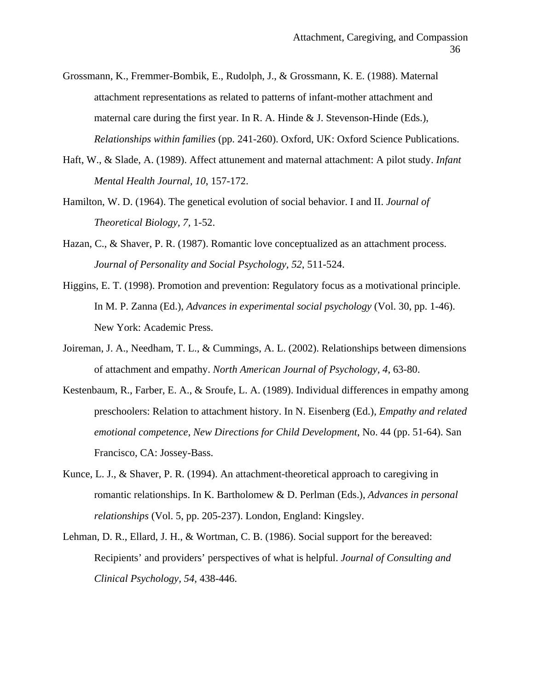- Grossmann, K., Fremmer-Bombik, E., Rudolph, J., & Grossmann, K. E. (1988). Maternal attachment representations as related to patterns of infant-mother attachment and maternal care during the first year. In R. A. Hinde & J. Stevenson-Hinde (Eds.), *Relationships within families* (pp. 241-260). Oxford, UK: Oxford Science Publications.
- Haft, W., & Slade, A. (1989). Affect attunement and maternal attachment: A pilot study. *Infant Mental Health Journal, 10*, 157-172.
- Hamilton, W. D. (1964). The genetical evolution of social behavior. I and II. *Journal of Theoretical Biology, 7,* 1-52.
- Hazan, C., & Shaver, P. R. (1987). Romantic love conceptualized as an attachment process. *Journal of Personality and Social Psychology, 52*, 511-524.
- Higgins, E. T. (1998). Promotion and prevention: Regulatory focus as a motivational principle. In M. P. Zanna (Ed.), *Advances in experimental social psychology* (Vol. 30, pp. 1-46). New York: Academic Press.
- Joireman, J. A., Needham, T. L., & Cummings, A. L. (2002). Relationships between dimensions of attachment and empathy. *North American Journal of Psychology, 4*, 63-80.
- Kestenbaum, R., Farber, E. A., & Sroufe, L. A. (1989). Individual differences in empathy among preschoolers: Relation to attachment history. In N. Eisenberg (Ed.), *Empathy and related emotional competence*, *New Directions for Child Development*, No. 44 (pp. 51-64). San Francisco, CA: Jossey-Bass.
- Kunce, L. J., & Shaver, P. R. (1994). An attachment-theoretical approach to caregiving in romantic relationships. In K. Bartholomew & D. Perlman (Eds.), *Advances in personal relationships* (Vol. 5, pp. 205-237). London, England: Kingsley.
- Lehman, D. R., Ellard, J. H., & Wortman, C. B. (1986). Social support for the bereaved: Recipients' and providers' perspectives of what is helpful. *Journal of Consulting and Clinical Psychology, 54*, 438-446.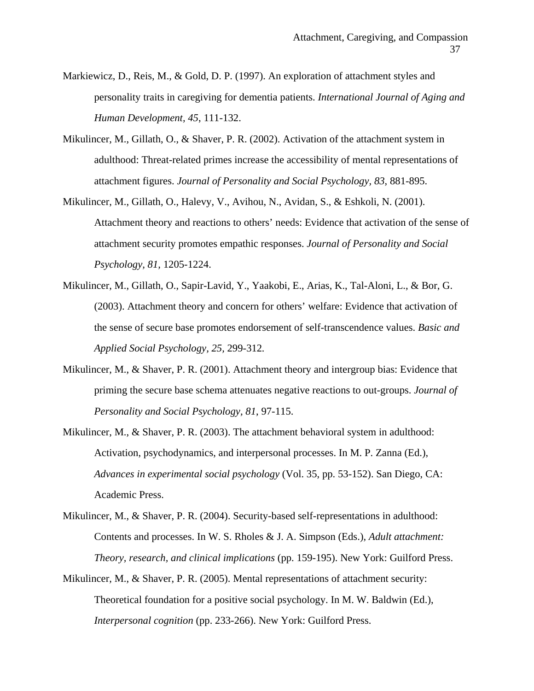- Markiewicz, D., Reis, M., & Gold, D. P. (1997). An exploration of attachment styles and personality traits in caregiving for dementia patients. *International Journal of Aging and Human Development, 45*, 111-132.
- Mikulincer, M., Gillath, O., & Shaver, P. R. (2002). Activation of the attachment system in adulthood: Threat-related primes increase the accessibility of mental representations of attachment figures. *Journal of Personality and Social Psychology, 83*, 881-895.
- Mikulincer, M., Gillath, O., Halevy, V., Avihou, N., Avidan, S., & Eshkoli, N. (2001). Attachment theory and reactions to others' needs: Evidence that activation of the sense of attachment security promotes empathic responses. *Journal of Personality and Social Psychology, 81,* 1205-1224.
- Mikulincer, M., Gillath, O., Sapir-Lavid, Y., Yaakobi, E., Arias, K., Tal-Aloni, L., & Bor, G. (2003). Attachment theory and concern for others' welfare: Evidence that activation of the sense of secure base promotes endorsement of self-transcendence values. *Basic and Applied Social Psychology, 25,* 299-312*.*
- Mikulincer, M., & Shaver, P. R. (2001). Attachment theory and intergroup bias: Evidence that priming the secure base schema attenuates negative reactions to out-groups. *Journal of Personality and Social Psychology, 81*, 97-115.
- Mikulincer, M., & Shaver, P. R. (2003). The attachment behavioral system in adulthood: Activation, psychodynamics, and interpersonal processes. In M. P. Zanna (Ed.), *Advances in experimental social psychology* (Vol. 35, pp. 53-152). San Diego, CA: Academic Press.
- Mikulincer, M., & Shaver, P. R. (2004). Security-based self-representations in adulthood: Contents and processes. In W. S. Rholes & J. A. Simpson (Eds.), *Adult attachment: Theory, research, and clinical implications* (pp. 159-195). New York: Guilford Press.
- Mikulincer, M., & Shaver, P. R. (2005). Mental representations of attachment security: Theoretical foundation for a positive social psychology. In M. W. Baldwin (Ed.), *Interpersonal cognition* (pp. 233-266). New York: Guilford Press.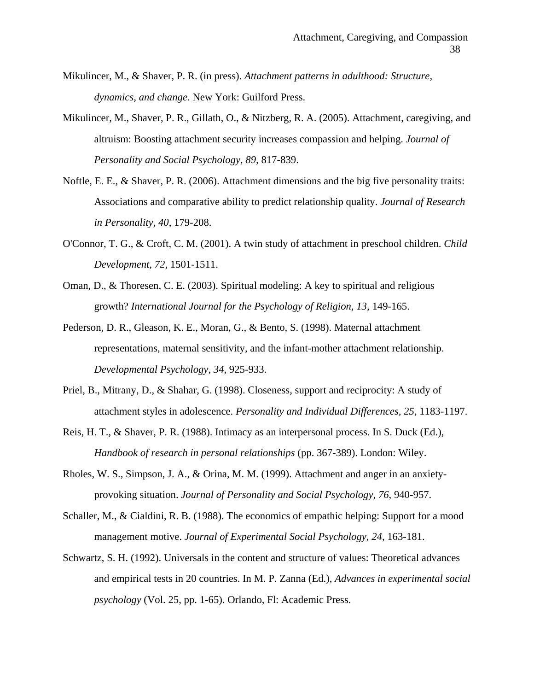- Mikulincer, M., & Shaver, P. R. (in press). *Attachment patterns in adulthood: Structure, dynamics, and change*. New York: Guilford Press.
- Mikulincer, M., Shaver, P. R., Gillath, O., & Nitzberg, R. A. (2005). Attachment, caregiving, and altruism: Boosting attachment security increases compassion and helping. *Journal of Personality and Social Psychology, 89,* 817-839.
- Noftle, E. E., & Shaver, P. R. (2006). Attachment dimensions and the big five personality traits: Associations and comparative ability to predict relationship quality. *Journal of Research in Personality, 40*, 179-208.
- O'Connor, T. G., & Croft, C. M. (2001). A twin study of attachment in preschool children. *Child Development, 72*, 1501-1511.
- Oman, D., & Thoresen, C. E. (2003). Spiritual modeling: A key to spiritual and religious growth? *International Journal for the Psychology of Religion, 13,* 149-165.
- Pederson, D. R., Gleason, K. E., Moran, G., & Bento, S. (1998). Maternal attachment representations, maternal sensitivity, and the infant-mother attachment relationship. *Developmental Psychology, 34*, 925-933.
- Priel, B., Mitrany, D., & Shahar, G. (1998). Closeness, support and reciprocity: A study of attachment styles in adolescence. *Personality and Individual Differences, 25*, 1183-1197.
- Reis, H. T., & Shaver, P. R. (1988). Intimacy as an interpersonal process. In S. Duck (Ed.), *Handbook of research in personal relationships* (pp. 367-389). London: Wiley.
- Rholes, W. S., Simpson, J. A., & Orina, M. M. (1999). Attachment and anger in an anxietyprovoking situation. *Journal of Personality and Social Psychology, 76*, 940-957.
- Schaller, M., & Cialdini, R. B. (1988). The economics of empathic helping: Support for a mood management motive. *Journal of Experimental Social Psychology, 24*, 163-181.
- Schwartz, S. H. (1992). Universals in the content and structure of values: Theoretical advances and empirical tests in 20 countries. In M. P. Zanna (Ed.), *Advances in experimental social psychology* (Vol. 25, pp. 1-65). Orlando, Fl: Academic Press.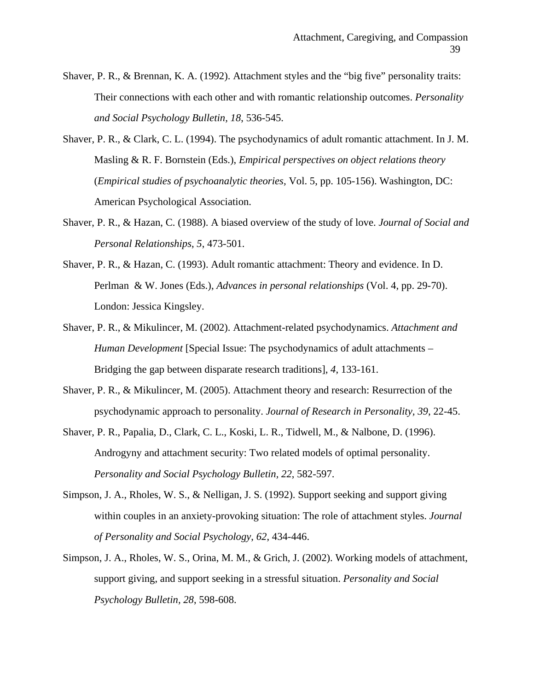- Shaver, P. R., & Brennan, K. A. (1992). Attachment styles and the "big five" personality traits: Their connections with each other and with romantic relationship outcomes. *Personality and Social Psychology Bulletin, 18*, 536-545.
- Shaver, P. R., & Clark, C. L. (1994). The psychodynamics of adult romantic attachment. In J. M. Masling & R. F. Bornstein (Eds.), *Empirical perspectives on object relations theory*  (*Empirical studies of psychoanalytic theories,* Vol. 5, pp. 105-156). Washington, DC: American Psychological Association.
- Shaver, P. R., & Hazan, C. (1988). A biased overview of the study of love. *Journal of Social and Personal Relationships*, *5*, 473-501.
- Shaver, P. R., & Hazan, C. (1993). Adult romantic attachment: Theory and evidence. In D. Perlman & W. Jones (Eds.), *Advances in personal relationships* (Vol. 4, pp. 29-70). London: Jessica Kingsley.
- Shaver, P. R., & Mikulincer, M. (2002). Attachment-related psychodynamics. *Attachment and Human Development* [Special Issue: The psychodynamics of adult attachments – Bridging the gap between disparate research traditions], *4*, 133-161.
- Shaver, P. R., & Mikulincer, M. (2005). Attachment theory and research: Resurrection of the psychodynamic approach to personality. *Journal of Research in Personality, 39*, 22-45.
- Shaver, P. R., Papalia, D., Clark, C. L., Koski, L. R., Tidwell, M., & Nalbone, D. (1996). Androgyny and attachment security: Two related models of optimal personality. *Personality and Social Psychology Bulletin, 22*, 582-597.
- Simpson, J. A., Rholes, W. S., & Nelligan, J. S. (1992). Support seeking and support giving within couples in an anxiety-provoking situation: The role of attachment styles. *Journal of Personality and Social Psychology*, *62*, 434-446.
- Simpson, J. A., Rholes, W. S., Orina, M. M., & Grich, J. (2002). Working models of attachment, support giving, and support seeking in a stressful situation. *Personality and Social Psychology Bulletin, 28*, 598-608.